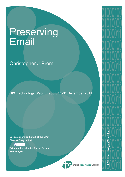# Preserving Email

# Christopher J.Prom

DPC Technology Watch Report 11-01 December 2011

**Series editors on behalf of the DPC Charles Beagrie Ltd.**

# Charles Beagrie

**Principal Investigator for the Series Neil Beagrie**



DigitalPreservationCoalition

01000100

<u>U I U I U U U U </u>

01000011

01000100

<u>U I U I UU U U</u>

01000011

0 | **@**00 | 00

DPC Technology Watch Series

01000100

01000100

<u>U I U I U U U U </u>

01000011

U I V I VVVV

01 guuu 11

U I <u>D</u> I VVVV

01000011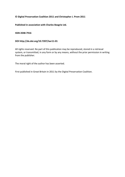# **© Digital Preservation Coalition 2011 and Christopher J. Prom 2011**

**Published in association with Charles Beagrie Ltd.**

**ISSN 2048-7916**

# **DOI http://dx.doi.org/10.7207/twr11-01**

All rights reserved. No part of this publication may be reproduced, stored in a retrieval system, or transmitted, in any form or by any means, without the prior permission in writing from the publisher.

The moral right of the author has been asserted.

First published in Great Britain in 2011 by the Digital Preservation Coalition.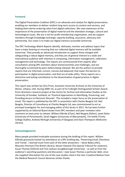# **Foreword**

The Digital Preservation Coalition (DPC) is an advocate and catalyst for digital preservation, enabling our members to deliver resilient long-term access to content and services, and helping them derive enduring value from digital collections. We raise awareness of the importance of the preservation of digital material and the attendant strategic, cultural and technological issues. We are a not-for-profit membership organization, and we support members through knowledge exchange, capacity building, assurance, advocacy and partnership. Our vision is to make our digital memory accessible tomorrow.

The *DPC Technology Watch Reports* identify, delineate, monitor and address topics that have a major bearing on ensuring that our collected digital memory will be available tomorrow. They provide an advanced introduction to support those charged with safeguarding a robust digital memory, and they are of general interest to a wide and international audience with interests in computing, information management, collections management and technology. The reports are commissioned from experts after consultation among DPC members about shared priorities and challenges, and are thoroughly scrutinized by peers before being released. We ask the authors to provide reports that are informed, current, concise and balanced; that lower the barriers to participation in digital preservation; and that are of wide utility. These reports are a distinctive and lasting contribution to the dissemination of good practice in digital preservation.

This report was written by Chris Prom, Assistant University Archivist at the University of Illinois, Urbana, USA. During 2009–10, as part of his Fulbright Distinguished Scholar Award, Prom directed a research project at the Centre for Archive and Information Studies at the University of Dundee, Scotland, on 'Practical Approaches to Identifying, Preserving, and Providing Access to Electronic Records'. This included a major focus on the preservation of email. The report is published by the DPC in association with Charles Beagrie Ltd. Neil Beagrie, Director of Consultancy at Charles Beagrie Ltd, was commissioned to act as principal investigator for and managing editor of this Series in 2011. He has been further supported by an Editorial Board drawn from DPC members and peer reviewers who comment on texts prior to release: William Kilbride (Chair), Neil Beagrie (Editor), Janet Delve (University of Portsmouth), Sarah Higgins (University of Aberystwyth), Tim Keefe (Trinity College Dublin), Andrew McHugh (University of Glasgow) and Dave Thompson (Wellcome Library).

#### **Acknowledgements**

Many people provided invaluable assistance during the drafting of this report. William Kilbride graciously hosted my attendance at a DPC briefing day, 'Preserving Email: Directions and Trends'. I learned much from each of the other presenters – Steve Bailey (JISC), Maureen Pennock (The British Library), Steven Howard (The Special Tribunal for Lebanon), Susan Thomas (Oxford) and Tom Jackson (Loughborough University) – as well as from the audience's searching questions and discussion. I owe Susan Thomas a particular debt, since she supplied information for one of the case studies cited in the text; Crawford Neilson from the Medical Research Council deserves similar thanks.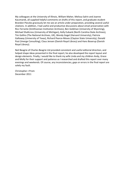My colleagues at the University of Illinois, William Maher, Melissa Salrin and Joanne Kaczmarek, all supplied helpful comments on drafts of this report, and graduate student Brandon Pieczko graciously let me see an article under preparation, providing several useful citations. In addition, I had useful and productive discussions about email preservation with Ricc Ferrante (Smithsonian Institution Archives), Ben Goldman (University of Wyoming), Michael Shallcross (University of Michigan), Kelly Eubank (North Carolina State Archives), Tim Gollins (The National Archives, UK), Wendy Gogel (Harvard University), Patricia Galloway (University of Texas), Richard Pearce-Moses (Clayton State University), Donald Post (Imerge Consulting), Claus Jensen (Danish Royal Library) and Hans Boserup (Danish Royal Library).

Neil Beagrie of Charles Beagrie Ltd provided consistent and useful editorial direction, and helped shape ideas presented in the final report; he also developed the report layout and design elements. Finally, I would like to thank my wife Linda and my children Andy, Grace and Molly for their support and patience as I researched and drafted this report over many evenings and weekends. Of course, any inconsistencies, gaps or errors in the final report are solely my fault.

Christopher J Prom December 2011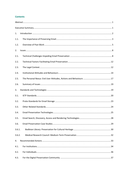# **Contents**

| 1.     |  |  |  |
|--------|--|--|--|
| 1.1.   |  |  |  |
| 1.2.   |  |  |  |
| 2.     |  |  |  |
| 2.1.   |  |  |  |
| 2.2.   |  |  |  |
| 2.3.   |  |  |  |
| 2.4.   |  |  |  |
| 2.5.   |  |  |  |
| 2.6.   |  |  |  |
| 3.     |  |  |  |
| 3.1.   |  |  |  |
| 3.2.   |  |  |  |
| 3.3.   |  |  |  |
| 3.4.   |  |  |  |
| 3.5.   |  |  |  |
| 3.6.   |  |  |  |
| 3.6.1. |  |  |  |
| 3.6.2. |  |  |  |
| 4.     |  |  |  |
| 4.1.   |  |  |  |
| 4.2.   |  |  |  |
| 4.3.   |  |  |  |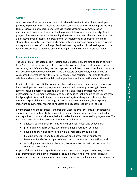# **Abstract**

<span id="page-6-0"></span>Over 40 years after the invention of email, relatively few institutions have developed policies, implementation strategies, procedures, tools and services that support the longterm preservation of records generated via this transformative communication mechanism. However, a close examination of recent literature reveals that significant progress has been achieved in developing the essential elements that can be used to build an effective email preservation programme. By implementing appropriate technical standards, new capture methods and emerging technologies, archivists, curators, records managers and other information professionals working in the cultural heritage sector can take practical steps to preserve email for its legal, administrative or historical value.

# **Executive Summary**

<span id="page-6-1"></span>The use of email technologies is increasing and is becoming more embedded in our daily lives. Since email systems generate a constantly evolving yet fragile stream of evidence concerning people's activities, the messages and attachments they transmit can comprise rich documentary research resources. Like the letters of yesteryear, email will be of widespread interest not only to its original senders and recipients, but also to students, scholars and members of the public seeking evidence and information about the past.

Experimentation about the past.<br>
Legal and administrative value, few organizations<br>
ness that are dedicated to preserving it. Several<br>
ical barriers and legal mandates favouring<br>
mors pursue policies that amount to little In spite of email's potential historical, legal and administrative value, few organizations have developed sustainable programmes that are dedicated to preserving it. Several factors, including perceived technological barriers and legal mandates favouring destruction, have led many organizations pursue policies that amount to little more than benign neglect. As a result, the end users of email systems frequently shoulder the ultimate responsibility for managing and preserving their own email, thus exposing important documentary records to needless and counterproductive risk of loss.

By understanding the technical standards that underlie email systems, by undertaking appropriate preservation strategies and by implementing new technologies, individuals and organizations can lay the foundation for effective email preservation programmes. The following activities will be essential elements of such efforts:

- analysing current email systems vis-à-vis end user needs and behaviours;
- prioritizing long-term access over minimum legal retention periods;
- developing short and easy-to-follow email management guidelines;
- building procedures and tools that make email preservation an integral, transparent and effortless part of email users' communication practices; and
- capturing email in a standards-based, system-neutral format that preserves its significant properties.

As part of these activities, organizational leaders, records managers, archivists, curators and information technology professionals should pursue one or more strategies, as appropriate to local circumstances. They can offer guidance, helping email users engage in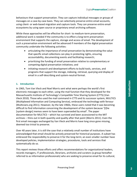behaviours that support preservation. They can capture individual messages or groups of messages on a case-by-case basis. They can selectively preserve entire email accounts, using client- or web-based migration and capture tools. They can preserve entire email ecosystems by using open source or proprietary email archiving software.

While these approaches will be effective for short- to medium-term preservation, additional work is needed if the community is to effect a long-term preservation environment that supports the capture, storage and access of email. The development of such a preservation environment will be advanced if members of the digital preservation community undertake the following activities:

- articulating the importance of email preservation by demonstrating the value that specific email collections can play in protecting rights, ensuring accountability, documenting events and facilitating research;
- prioritizing the funding of email preservation relative to complementary or competing digital preservation initiatives; and
- initiating research and development efforts to build tools, services, and programs that support the storage, indexing, retrieval, querying and display of email in a self-describing and system-neutral format.

# <span id="page-7-0"></span>**1. Introduction**

ris sent what were perhaps the world's first<br>
ring the mail function that they developed for the<br>
"S Compatible Time Sharing System (CTTS) (Van<br>
command in CTTS and tis successor system, MULTICS<br>
ing Service), embraced the In 1965, Tom Van Vleck and Noel Morris sent what were perhaps the world's first electronic messages to each other, using the mail function that they developed for the Massachusetts Institute of Technology's Compatible Time Sharing System (CTTS) (Van Vleck 2010). Those who used the mail command in CTTS and its successor system, MULTICS (Multiplexed Information and Computing Service), embraced the technology with fervour (Multicians.org 2011). However, by the late 1960s, these users noted that it was becoming difficult to find information concerning the development of the system because '[t]he [system design] memos seem to have been superseded by email'. The paper documentation for MULTICS – which has survived and been accessioned to the MIT archives – thins out in both quantity and quality after that point (Morris 2011). Even the first email messages exchanged by Van Vleck and Morris have long since gone missing, deemed too trivial to preserve.

Over 40 years later, it is still the case that a relatively small number of institutions have acknowledged that email should be actively preserved for historical purposes. A subset has embraced the responsibility to preserve it for the long-term; an even smaller number have developed policies, implementation strategies, procedures, tools and services that systematically do so.

This report reviews those efforts and offers recommendations for organizational leaders, records managers, IT professionals, librarians, archivists and curators (a group hereafter referred to as information professionals) who are seeking to preserve email for its cultural,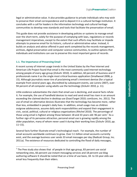legal or administrative value. It also provides guidance to private individuals who may wish to preserve their email correspondence and to deposit it in a cultural heritage institution. It concludes with a call for leaders in the information technology and cultural heritage communities to develop new standards and tools that facilitate the preservation of email.

This guide does not provide assistance in developing policies or systems to manage email over the short-term, solely for the purpose of complying with laws, regulations or records management imperatives, except to the extent that such efforts may facilitate or impede attempts to preserve email for its historic, cultural or administrative value. Instead, it builds on analysis and advice offered in past work completed by the records management, archives, digital preservation and computer science communities, to outline options that individuals and institutions can use to preserve this most important genre of records.

# **1.1. The Importance of Preserving Email**

l

<span id="page-8-0"></span>A recent survey of Internet usage trends in the United States by the Pew Internet and American Life Project found that email is the most commonly used Internet technology among people of every age group (Zickuhr 2010). In addition, 60 percent of business and IT professionals name it as the single most critical business application (Smallwood 2008, p. 15). Although journalists never tire of proclaiming email's imminent demise (for a typical example from several years ago, discredited by subsequent events, see Lorenz 2007), over 94 percent of all computer-using adults use the technology (Zickuhr 2010, p. 11).

edited by subsequent events, see Lorenz 2007), over<br>s use the technology (Zickuhr 2010, p. 11).<br>that email use is declining, and several facts refute<br>evices to read and send email has risen in an amount<br>strates that the te Little evidence substantiates the claim that email use is declining, and several facts refute it. For example, the use of handheld devices to read and send email has risen in an amount exceeding the claimed decline in desktop use (ExactTarget 2010; comScore, Inc. 2011). The use of email on alternative devices illustrates that the technology has become more, rather than less, embedded in people's daily lives. In addition, email usage rises as children outgrow adolescence, assume daily work responsibilities and expand their engagement in civic, social, political, cultural or religious organizations (Ritchel 2010). The percentage of those using email is highest among those between 18 and 33 years old: 96 per cent. $^{\rm 1}$  As a further sign of its pervasive attraction, personal email use is growing rapidly among the older population, many of whom never used it during their working lives (Zickuhr 2010, pp.  $11-15$ ).

Several facts further illustrate email's technological reach. For example, the number of email accounts worldwide continues to grow. Over 3.1 billion email accounts currently exist, and the average business user sends 33 email messages per day (Radicati Group, Inc. 2011a). The existence of resources dedicated to controlling the flood of daily messages,

 $<sup>1</sup>$  The Pew study also shows that of people in that age group, 83 percent use social</sup> networking sites, 66 percent use instant messaging services and 18 percent use blog authoring software It should be noted that on a time of use basis, 18- to 33-year-olds use email less frequently than their elders.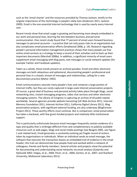such as the 'email charter' and the resources provided by Thomas Jackson, testify to the singular importance of this technology in people's daily lives (Anderson 2011; Jackson 2009). Email is the one essential Internet technology that is used by nearly every Internet user.

Recent trends show that email usage is growing and becoming more deeply embedded in our work and personal lives, blurring the line between business and personal communication. One recent study found that 77 percent of email users forward business messages to personal accounts – a practice that not only poses risks to an organization but also complicates email preservation efforts (Smallwood 2008, p. 14). Research regarding people's personal information management practices shows that many people use free online email services as a strategy to keep a record of their activities and to back up their important documents (Marshall 2008a). In addition, a significant minority of email users supplement email messaging with blog posts, text messages or social network updates (for example Twitter and Facebook updates).

Taken as a whole, these trends present an archival paradox. Email and other electronic messages are both ubiquitous and ephemeral, documenting people's professional and personal lives in a chaotic stream of messages and relationships, calling for a new documentary practice (Maher 1992).

Email communications saturate many people's lives and comprise a large portion of Internet traffic, but they are rarely captured in large-scale Internet preservation projects. Of course, a great deal of business and personal activity takes place through blogs, social networking sites, instant messaging programs, video chat services and other electronic messaging systems. The Library of Congress is capturing an archive of all public tweets worldwide. Several agencies provide website harvesting (UK Web Archive 2011; Internet Memory Foundation 2011; Internet Archive 2011; California Digital Library 2011). Blog preservation projects, with significant external funding, are also underway (BlogForever Project 2011). These worthy efforts must continue. But in comparison, email preservation has taken a backseat, with few grant-funded projects and relatively little institutional support.

people's lives and comprise a large portion of<br>thured in large-scale Internet preservation projects.<br>I personal activity takes place through blogs, social<br>ograms, video chat services and other electronic<br>gress is capturing This is particularly unfortunate because email messages frequently contain evidence of a type and quality that is strikingly different from and complementary to publicly available resources such as web pages, blogs and social media postings (see Beagrie 2005, see Figure 1 and related text). Email generates a constantly evolving yet fragile record of actions taken by organizations or individuals. When an individual sends an email message, the software that executes the transaction leaves an embedded trail of evidence in the email header; this trail can demonstrate how people lived and worked within a network of colleagues, friends and family members. Several articles and projects show the potential for documenting and understanding social networks via email analysis (Sudarsky and Hjelsvold 2002; Viegas, et al., 2004; Perer, et al., 2006; Gorton, et al., 2007; and Stanford University, Mobisocial Laboratory 2011).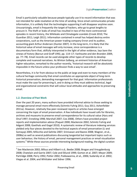Email is particularly valuable because people typically use it to record information that was not intended for wide revelation at the time of sending. Since email communicates private information, it is unlikely that the technologies supporting it will disappear anytime soon. Unsurprisingly, email is frequently the target of hackers, who go to great lengths to procure it. The theft or leaks of email has resulted in two of the more controversial episodes in recent history, the Wikileaks and Climategate scandals (Crook 2010; The Guardian 2011; Leigh 2011). Information contained in email has helped destroy entire corporations, such as the American power trading company Enron and its auditor, accounting giant Arthur Andersen (Hunter 2007). In the long-term, it is likely that the historical value of email messages will only increase, since correspondence is a documentary form that, skilfully interpreted in the light of other evidence, lays bare the sinews of history (Barzun and Graff 1992, pp. 114–17; Vanhoutte and den Branden 2009, pp. 77–78). Email records can be used alongside other types of records to develop complete and nuanced narratives. As Winton Solberg, an eminent historian of American higher education, remarked to the author recently, 'historical research will be absolutely impossible in the future unless your profession finds a way to save email'.

Nevertheless, it is far from obvious to the public at large and even to many members of the cultural heritage community that email constitutes an appropriate object of long-term historical preservation, demanding management for that goal. Information professionals must make the case for preserving it, and in doing so they must address technical, legal and organizational constraints that will colour local attitudes and approaches to preserving email.

# <span id="page-10-0"></span>**1.2. Overview of Past Work**

l

and in doing so they must address technical, legal<br>
Il colour local attitudes and approaches to preserving<br>
Theoremonic and approaches to preserving<br>
they preserving 2011; Guy 2011; Ashenfelder<br>
reviewed reports or article Over the past 20 years, many authors have provided informal advice to those seeking to manage personal email more effectively (Schmitz Fuhrig 2011; Guy 2011; Ashenfelder 2011a). However, relatively few peer-reviewed reports or articles have emerged concerning the topic of email preservation. A few individuals have issued calls for libraries, archives and museums to preserve email correspondence for its cultural value (Hyry and Onuf 1997; Enneking 1998; Marshall 2007; Cox 2008). Others have provided project reports and implementation advice (Paquet 2000; Mackenzie 2002; Schmitz Fuhrig and Adgent 2008; Goethals and Gogel 2010). A systematic review of literature indexing services yielded only four pieces devoted to the technical aspects of email preservation (Li and Somayaji 2005; Milicchio and Gehrke 2007; Srinivasan and Baone 2008; Wagner, et al., 2008a) as well as several publications discussing tangential but important topics such as user behaviour, the history of email, personal management practices or email visualization systems.<sup>2</sup> While these sources provide interesting background reading, the digital curation

<sup>&</sup>lt;sup>2</sup> See Mackenzie 2002; Billsus and Hilbert n.d.; Beebe 2008; Brogan and Vreugdenburg 2008; Chatelain and Garrie 2007; Cole and Eklund 1999; Gorton et al. 2007; Meyer 2009; Partridge 2008; Perry 1992; Potter 2002; Pukkawanna, et al., 2006; Sudarsky et al. 2002; Viegas et al. 2004; and Whittaker and Sidner 1996.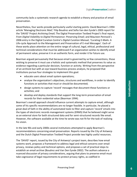community lacks a systematic research agenda to establish a theory and practice of email preservation.

Nevertheless, four works provide particularly useful starting points: David Bearman's 1994 article 'Managing Electronic Mail;' Filip Boudrez and Sofia Van den Eynde's 2003 report for the 'DAVID' Project *Archiving Email*; The Digital Preservation Testbed Project's final report, *From Digital Volatility to Digital Permanence: Preserving Email*; and Maureen Pennock's 2006 entry in the Digital Curation Centre's *Digital Curation Manual*, 'Curating E-Mails: A Life-cycle Approach to the Management and Preservation of E-mail Messages'. Each of these works place attention on the entire range of cultural, legal, ethical, professional and technical considerations that must be addressed if an organization wishes to identify email of permanent value, preserve it in an authentic form, and render it for future use.

Bearman argued persuasively that because email is governed by so few conventions, those wishing to preserve it must use a holistic and systematic method that preserves its value as evidence regarding a particular decision, function or activity. Writing from the perspective of an archivist but with an eye toward business process analysis, he proposed that institutions pursue four strategies to implement this goal:

- **e** educate users about email system operations;
- analyse the organization's objectives, structures and workflows, in order to identify functions or activities that must or should be documented;
- design systems to capture 'record' messages that document these functions or activities; and
- develop and deploy standards that support the long-term preservation of email records for their evidential value (Bearman 1994).

Extractes and working, in order to dealing<br>that support the long-term preservation of email<br>ord' messages that documented;<br>The (Bearman 1994).<br>Let (Bearman 1994).<br>The current attempts to capture email, although<br>are no long Bearman's overall approach should influence current attempts to capture email, although some of his specific recommendations are no longer feasible. In particular, he placed a great deal of faith in the ability of automated tools to filter and capture 'record' emails into the types of electronic records management systems (ERMS) that he believed might serve as an external store for both structured data and for semi-structured records like email. However, the software available at the time he wrote was not fit for the task of realizing his vision.

In the late 90s and early 2000s several institutions attempted to apply Bearman's recommendations concerning email preservation. Reports issued by the City of Antwerp and the Dutch Digital Preservation Testbed Project provide two highly useful resources.

The 'DAVID' report, issued by the City of Antwerp's project team, describes how email systems work, proposes a framework to address legal and ethical concerns over email privacy, reviews policy and technical options, and proposes a set of practical steps to establish an email archive (Boudrez and Van Den Eynde 2002). The authors advance a nuanced discussion of privacy considerations, arguing that plans to preserve email must take cognizance of legal requirements to protect privacy rights, as codified in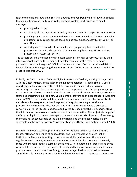telecommunications laws and directives. Boudrez and Van Den Eynde review four options that an institution can use to capture the content, context, and structure of email messages:

- printing to hard copy;
- duplicating all messages transmitted by an email server to a separate archival store;
- providing email users with a shared folder on the server, where they can manually or automatically classify emails based on business function, activity, or subject, or case ID; and
- capturing records outside of the email system, migrating them to suitable preservation format such as PDF or XML and storing them in an ERMS or other preservation system (pp. 34–46).

The authors outline a method by which users can register email as records, classify them into an archival store on the server and transfer them out of the email system for permanent preservation (pp. 47–53). In a companion report, Boudrez provides detailed technical information regarding the operation of the DAVID system as Antwerp put it into practice (Boudrez 2006).

and Kingdom Relations, issued a similarly useful<br>
003). This includes an extended discussion<br>
et that must be preserved so that people can judge<br>
advantages and disadvantages of three preservation<br>
ersion of the software o In 2003, the Dutch National Archives Digital Preservation Testbed, working in conjunction with the Dutch Ministry of the Interior and Kingdom Relations, issued a similarly useful report (Digital Preservation Testbed 2003). This includes an extended discussion concerning the properties of a message that must be preserved so that people can judge its authenticity. The report weighs the advantages and disadvantages of three preservation strategies: migrating email to a new version of the software or an open standard, wrapping email in XML formats, and emulating email environments, concluding that using XML to encode email messages is the best long-term strategy for creating a sustainable preservation environment. The final sections of the report recommend a process to convert email to the XML format developed by the Testbed project, listing specific steps that information professionals can take to facilitate preservation. The project also supplied an Outlook plug-in to convert messages to the recommended XML format. Unfortunately, the tool is no longer available at the time of writing, and the project website is only accessible via the Internet Archive's Wayback Machine (Digital Preservation Testbed 2003).

Maureen Pennock's 2006 chapter of the *Digital Curation Manual*, 'Curating E-mails', focuses attention on a range of policy, design and implementation choices that an institution will face in attempting to preserve email. Pennock reviews the legal and regulatory environment; articulates roles and responsibilities for those who use email, those who manage technical systems, those who wish to curate email archives and those who wish to use preserved messages; lists policy and technical options; and makes some practical recommendations. Specifically, she encourages institutions to educate users about their role in email preservation, to implement a method to capture email messages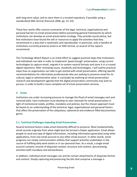with long-term value, and to store them in a trusted repository, if possible using a standardized XML format (Pennock 2006, pp. 31–33).

These four works offer concise summaries of the legal, technical, organizational and personal barriers to email preservation before presenting general frameworks by which institutions can develop an email preservation strategy. They provide sound advice, but few institutions have found the will or resources to apply the activities that they recommend in a way that is systematic and reproducible. In particular, only a handful of institutions currently preserve email in an XML format, as several of the reports recommend.

This *Technology Watch Report* is an initial effort to suggest practical steps that institutions and individuals can take in order to implement 'good enough' preservation, using current technologies to capture email, migrate it to system neutral formats and store it in a trusted digital repository. After reviewing issues, standards and technologies, I will outline practical steps than an organization can take to get started with email preservation, offering specific recommendations for information professionals who are seeking to preserve email for its cultural, legal or administrative value. It concludes by outlining an email preservation research and development agenda that the digital preservation community may wish to pursue, in order to build a more complete set of email preservation services.

# **2. Issues**

<span id="page-13-0"></span>Institutions are under increasing pressure to manage the flood of email messages sent and received daily. Each institution must develop its own rationale for email preservation in light of institutional needs, profiles, mandates and policies, but the chosen approach must be based on an understanding of the technical, legal, organizational and personal factors that affect the preservation of this ubiquitous, ephemeral and evidence-filled documentary genre.

# <span id="page-13-1"></span>**2.1. Technical Challenges Impeding Email Preservation**

Let be the chiral preservation be the case<br>of the chiral preservation be the chiral preservation in<br>andates and policies, but the chosen approach must<br>echnical, legal, organizational and personal factors<br>quitous, ephemeral Several technical factors make email inherently difficult to preserve. Most fundamentally, email records originate from what might best be termed a helper application. Email allows people to send any type of digital information, including information generated using other applications, from one email account to any other email account. In other words, email programs are simply communication utilities that support activities undertaken in the course of fulfilling daily work duties or in our personal lives. As a result, a single email account contains records of disparate context, structure and content, documenting activities both mundane and extraordinary.

In addition, individual email messages can and do contain attachments of disparate format and content. Simply capturing and preserving the bits that comprise a message is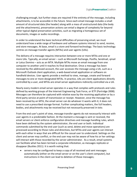challenging enough, but further steps are required if the entirety of the message, including attachments, is to be accessible in the future. Since each email message includes a small amount of structured data (the header) along with a mass of unstructured data (the body and the attachments), preservation actions can entail a degree of complexity far beyond other typical digital preservation activities, such as migrating a homogenous set of documents, images or audio recordings.

In order to understand the basic technical difficulties of preserving email, we must understand how a wide range of hardware and software systems interact to send, receive, and store messages. At base, email is a store and forward technology. The basic technology centres on message transfer agents (MTAs) and user agents (UAs).

The delivery of a message requires interaction between one or more MTAs and one or more UAs. Typically, an email server – such as Microsoft Exchange, Postfix, Sendmail, qmail or Lotus Domino – acts as an MTA. Multiple MTAs move an email message from one computer to another until it reaches its final destination. Once a message has been received by the addressed account, the user accesses the message using a UA, such as a Microsoft Outlook client application, a web-based email application or software on handheld devices. User agents provide a method to view, manage, create and forward messages to one or more designated MTAs. In practice, UAs are client applications directly controlled by a user, and MTAs are email server applications indirectly controlled via a UA.

Nearly every modern email server operates in a way that complies with protocols and rules defined by working groups of the Internet Engineering Task Force, or IETF (Partridge 2008). Messages can therefore be captured with relative ease by the receiving application or by a third party service at point of transmission or receipt. However, once the message has been received by an MTA, the email server can do whatever it wants with it; it does not need to use a prescribed storage format. Further complicating matters, the full headers, bodies, and attachments may be received but not necessarily preserved *in toto*.

rates in a way that complies with protocols and rules<br>
met Engineering Task Force, or IETF (Partridge 2008).<br>
with relative ease by the receiving application or by a<br>
sision or receipt. However, once the message has<br>
extre From the end user's point of view, message transfer agents do not necessarily interact with user agents in a predictable fashion. At the moment a message is sent or received, the email servers or client enforce configuration directives and message handling rules, which have been defined by the system administrator, the end user or both. Individual commands submitted by the end user (such as send, delete and move operations) are processed according to those rules and directives, but MTAs and user agents can interact with each other in ways that are difficult for the casual user to understand. Settings on the client and server may conflict, or the end user may not be aware of how his or her settings will interact with those recorded by the server administrator. As a result, email systems can facilitate what has been termed a corporate infestation, as messages replicate or disappear (Buckles 2011). It is worth noting that:

• servers may be configured to keep a copy of all received and sent messages automatically (either on the email server or on the user's client computer), but instructions in the client can lead to deletion of those messages;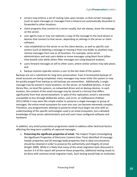- servers may enforce a set of routing rules upon receipt, so that certain messages (such as spam messages or messages from a listserv) are automatically discarded or forwarded to other locations;
- client programs that connect to a server usually, but not always, leave the message on the server;
- user agents may or may not replicate a copy of the message to the local device or devices that connect to that server, depending on settings in the server or client software;
- rules established on the server or on the client devices, as well as specific user actions (such as deleting a message or moving it from one folder to another) may remove messages from one or all locations. For example, some server administrators and end users delete or move messages using blunt force (often time-based) rules while others filter messages out using keyword analysis;
- users forward messages at will to other users, where similar actions may take place; and
- backup routines typically restore a user to the last state of the system.

ons: on the server, on triantuniculateusless, in location<br>tetworked drives and on backup devices. In each<br>sage may be stored in a format that differs<br>re. In spite of this replication, email is extremely<br>action, user error, Backups are not a substitute for long-term preservation. Even if incremental backups of email accounts are being completed, many messages may never enter the system or may be quickly purged from backup as old backups are overwritten. Additionally, a single message may be stored in many locations: on the server, on handheld devices, in local library files, on local file systems, on networked drives and on backup devices. In each location, the content of the email message may be stored in a format that differs significantly from that stored elsewhere. In spite of this replication, email is extremely susceptible to loss through deliberate action, user error, or malfeasance (Fallows 2011).While it may seem like simple matter to preserve a single messages or group of messages, the entire email ecosystem for even one user can become extremely complex. Therefore, any programmatic attempt to preserve email must begin not only with an understanding of the specific technologies used in an email ecosystem, but a detailed knowledge of how server administrators and end users have configured software and hardware.

In addition, any email preservation programme needs to address other technical factors affecting the long-term usability of captured messages:

1. **Preserving the significant properties of email.** The InSpect Project (Investigating the Significant Properties of Electronic Content Over Time) identified 14 message header properties and 50 message body properties that in ideal circumstances should be retained in order to preserve the authenticity and integrity of email (Knight 2009). While it is likely that many of the email migration tools discussed in section 3.4 of this report will preserve these properties, additional testing needs to be done with common email migration tools. Such testing would help an institution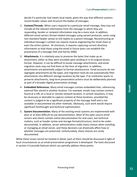decide if a particular tool meets local needs, given the way that different systems record header values and structure the bodies of messages.

- 2. **Context/Threads.** When users respond to a particular email message, they may not include all the relevant information from the message to which they are responding. Sender or recipient information may be a mere stub. In addition, different email servers thread related messages using variant protocols, some using non-standard header syntax to link replies to a parent message. Reconstructing an individual message's context can require reverse engineering the email chain or even the entire system. At minimum, it requires capturing current directory information so that those using the email in future years can establish the provenance of a message (Yeh and Harnly 2006).
- 3. **Attachments.** It is relatively easy to preserve the bytes that make up an attachment, either as they were encoded upon sending or in its original binary format. However, it can be difficult to locate message attachments, and email migration tools may not find them at the time of migration. In addition, attachments are potentially subject to format obsolescence. Email accounts do not segregate attachments by file types, and migration tools do not automatically filter attachments into different storage locations by file type. If an institution wants to preserve attachments, long-term preservation actions must be deliberately planned as part of a broader digital preservation strategy.
- 4. **Embedded References.** Many email messages contain embedded links, referencing external files stored in another location. For example, emails may contain content found at a URL on a local or remote network location. In certain situations, it may be necessary or desirable to capture content at these locations, provided the content is judged to be a significant property of the message itself and is not available or documented via other methods. Obviously, such work would require significant forethought and technical sophistication.
- mail messages contain embedded links, referencing<br>
location. For example, emails may contain content<br>
mote network location. In certain situations, it may<br>
pture content at these locations, provided the<br>
licant property of 5. **System Documentation.** Many of the existing email systems are implemented with poor or at least difficult-to-use documentation. Most of the open source email servers and clients contain online documentation for end users, but technical matters, such as header syntax and storage formats/structure, tend to be underdocumented. In addition, server administrators make many choices when installing or managing an email server, and these decisions can drastically affect how or whether messages are preserved. Unfortunately, these choices are rarely documented.

While these issues cannot be treated in detail, each of them should be discussed in light of local circumstances as an email preservation programme is developed. The tools discussed in section 3.4 provide features which can partially address these points.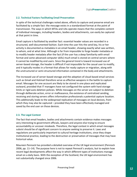# **2.2. Technical Factors Facilitating Email Preservation**

<span id="page-17-0"></span>In spite of the technical challenges noted above, efforts to capture and preserve email are facilitated by a simple fact: the message exists in a standardized format at the point of transmission. The ways in which MTAs and UAs operate means that the complete content of individual messages, including headers, bodies and attachments, can easily be captured at that point in time.

Email capture is facilitated by another fact: essential header values are recorded in a structured, well-documented fashion. Each time the user hits the send key, his or her activity is documented as metadata in an email header, showing exactly what was written, to whom, and at what time. Although is far from impossible to forge header metadata or to modify header metadata after the fact (if the user has a deep familiarity with email format and some advanced computer skills) much email is stored on central servers where it cannot be modified by end users. Since the general trend is toward increased use of server-based storage, the header is difficult if not impossible for the casual user to modify, and it typically resides in a format that allows for ready capture or migration, along with the unstructured or semi-structured information contained in the body and attachments.

ave not configured the system with hard storage<br>
thile messages on the server are subject to deletion<br>
Ifeasance, the existence of centralized sending,<br>
formation professionals a potential capture location.<br>
ad replication The increased use of server-based storage and the adoption of cloud-based email services such as Gmail and Hotmail therefore serve as effective weapons in the battle to capture email. Messages for one account are likely to be stored in one place and replicated outward, provided that IT managers have not configured the system with hard storage limits or rigid auto deletion policies. While messages on the server are subject to deletion through deliberate action, error or malfeasance, the existence of centralized sending, receiving and storing servers offers information professionals a potential capture location. This additionally leads to the widespread replication of messages on local devices, from which they may also be captured – provided they have been effectively managed and saved by the end user on those devices.

# **2.3. The Legal Context**

<span id="page-17-1"></span>The fact that email headers, bodies and attachments contain evidence makes messages very interesting to government officials, lawyers and anyone else trying to ensure accountability or uncover misdeeds. Therefore, the legal context in which email messages subsist should be of significant concern to anyone seeking to preserve it. Laws and regulations are particularly important to cultural heritage institutions, since they shape institutional practice, leading to the destruction or preservation of messages that may have historical value.

Maureen Pennock has provided a detailed overview of the UK legal environment (Pennock 2006, pp. 11–14). The purpose here is not to repeat Pennock's analysis, but to explain how recent legal developments affect the way in which different types of institutions manage email on a daily basis. With the exception of the Scotland, the UK legal environment has not substantially changed since 2006.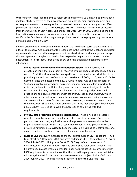Unfortunately, legal requirements to retain email of historical value have not always been implemented effectively, as the now notorious example of email mismanagement and subsequent lawsuits concerning White House email demonstrated as early as the 1980s (Bearman 1993; Gewirtz 2007; Cox 2008, pp. 215–16). The embarrassing leak of records from the University of East Anglia, England (Crook 2010; Levsen 2009), as well as ongoing legal actions over sloppy records management practices for email in the private sector, testify to the fact that email management problems continue to plague many institutions (Pinguelo and Gonnello 2010).

If email often contains evidence and information that holds long-term value, why is it so difficult to preserve? At least part of the reason lies in the fact that the legal and regulatory regimes under which email messages are sent, received, stored and managed encourage risk management strategies that lead at best to passive neglect and at worst to active destruction. In this respect, three areas of law and regulation have been particularly influential:

- If Xingdom, universities are not subject to public<br>tras schedules and plans as good professional<br>mee with other laws, such as FOI. FOI laws, which<br>might be seen as encouraging email preservation<br>e short term. However, some 1. **Public records and freedom of information (FOI) laws**. Public records laws establish or imply that email sent or received by public bodies is potentially a public record. Email therefore must be managed in accordance with the principles of the prevailing law and best professional practice (Pennock 2006, p. 10; Baron 2010). For example, since the passage of the 2011 Public Records Act, all public records in Scotland must by managed under a records management plan. It is important to note that, at least in the United Kingdom, universities are not subject to public records laws, but may use records schedules and plans as good professional practice and to ensure compliance with other laws, such as FOI. FOI laws, which affect many public institutions, might be seen as encouraging email preservation and accessibility, at least for the short term. However, some experts recommend that institutions should not create an email trail in the first place (Smallwood 2008, pp. 30–31, 97–103), so as to avoid the necessity of complying with FOI requirements.
- 2. **Privacy, data protection, financial oversight laws**. These laws outline records retention compliance periods or set strict rules regarding data use. Once these periods have been met, any further retention presents a discovery risk to the organization (Scholtes 2006a). As a result many organizations, particularly in the private community, are advised to keep messages only as long as legally necessary: an active inducement to deletion as a risk management technique.
- 3. **Rules of Civil Discovery.** Changes to the US Federal Rules of Civil Procedure (FRCP) took effect on 1 December 2006 and were codified in 2010 (Yoshinaka 2007; Swartz 2006; Juhnke 2003; US Supreme Court 2010). They defined the concept of Electronically Stored Information (ESI) and established rules under which ESI must be provided. In cases where a defendant does not produce ESI in compliance with FRCP requirements or cannot show that the record keeping system was maintained with integrity, the US courts can impose severe sanctions (Yoshinaka 2007; Swartz 2006; Juhnke 2003). The equivalent discovery rules for the UK are far less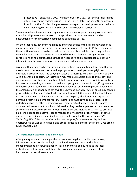prescriptive (Foggo, et al., 2007; Ministry of Justice 2011), but the US legal regime affects any company doing business in the United States, including UK companies. In addition, the US rules changes have encouraged the development of a market for email archiving software, as discussed in more detail in section 2.4.

Taken as a whole, these laws and regulations have encouraged at best a passive attitude toward email preservation. At worst, they provide an inducement toward active destruction after the prescribed compliance period has passed.

On the other hand, government agencies and other bodies with public funding (such as many universities) have an interest in the long-term reuse of records. Policies mandating the retention of records can be formalized into a records schedule, which may include review by an archivist and some attention to historical value. Private agencies (such as corporations or non-profit agencies that do not receive public assistance) also have an interest in long-term preservation for historical or administrative value.

Dependent of the sender of the lead of and the consistent of the distanced of the sender did not anticipate<br>
information, which the sender did not anticipate<br>
in formation, which the sender did not anticipate<br>
In spiritual Assuming that email can be captured and saved, there is an additional legal area that will need attention as an email preservation programme is developed – copyright and intellectual property laws. The copyright status of a message will affect what can be done with it over the long-term. An institution may make a plausible claim to own copyright only for records written by a member of that organization in his or her official capacity or for records donated by a private party where copyright is conveyed in the gift agreement. Of course, every set of email is likely to contain records sent by third parties, over which the organization or donor does not own the copyright. Particular sets of email may contain private data, such as medical or health information, which the sender did not anticipate making public. In case of email donated by a private party, the donor may request or demand a restriction. For these reasons, institutions must develop email access and redaction policies or other restrictions over materials. Such policies must be clearly documented, transparent, and impartial, so that they can be implemented in procedures, services and hardware or software tools. Institutions and individuals wishing to preserve email will need to take active steps to manage the intellectual property rights of email authors. Some guidance regarding this topic can be found in the forthcoming *DPC Technology Watch Report: Intellectual Property Rights for Preservation*, by Andrew Charlesworth, as well as in his legal and ethical issues guidance for the Digital Lives project (Charlesworth 2009).

#### **2.4. Institutional Attitudes and Behaviours**

<span id="page-19-0"></span>After gaining an understanding of the technical and legal factors discussed above, information professionals can begin to define the elements of a workable email management and preservation policy. This policy must also pay heed to the local institutional culture, which will shape the dissemination, management and storage behaviours that email users exhibit.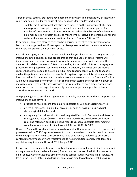Through policy setting, procedure development and system implementation, an institution can either help or hinder the cause of preserving. As Maureen Pennock noted:

To date, most institutional activities have focused on the management of e-mail messages and have yet to progress beyond this, despite the emergence of a number of XML-oriented solutions. Whilst the technical challenges of implementing an e-mail curation strategy are by no means wholly resolved, the organizational and cultural challenges remain a significant barrier. (Pennock 2006, p. 37)

In particular, perceived storage costs can be a barrier to effective email preservation, at least in some organizations. IT managers may face pressure to limit the amount of email that users can store in their personal quota.

Records managers, archivists, IT professionals and lawyers have in the past suggested that institutions establish policies and procedures so that end users of email systems will identify and keep those records requiring long-term management, while allowing the deletion of trivial or 'non-record' items. In practice, it is very difficult to set up segregation procedures that people will consistently follow. In addition, any policy and procedure regime that allows people to delete individual emails permanently will simultaneously enable the potential destruction of records of long-term legal, administrative, cultural or historical value. At the same time, there is a pervasive perception that a 'keep it all' policy will induce a headache for current IT staff charged with storing the ever-growing bulk of messages, whilst leaving the archivist with a future problem of even greater proportions: an unsorted mass of messages that can only be disentangled via imprecise technical algorithms or expensive hand work.

One popular guide to email management, for example, proceeds from the assumption that institutions should strive to:

- produce as much 'record-free email' as possible by using a messaging service;
- delete all messages in individual accounts as soon as possible, using a blunt chronological delimiter; and
- manage any 'record' email within an integrated Electronic Document and Records Management System (EDRMS). The EDRMS would strictly enforce classification rules and retention periods, deleting records as soon as possible after meeting compliance requirements (Smallwood 2008, pp. 30-31, 97-103).

monly be disentrangled via imprecise technical<br>
ent, for example, proceeds from the assumption that<br>
email' as possible by using a messaging service;<br>
al accounts as soon as possible, using a blunt<br>
nin an integrated Elect However, Steven Howard and James Lappin have noted that most attempts to capture and preserve email in EDRMS systems have not proven themselves to be effective. In any case, the marketplace for EDRMS software seems to be contracting, replaced by enterprise content management software typically used to help institutions comply with legal and regulatory requirements (Howard 2011; Lappin 2011).

In practical terms, many institutions simply set quotas or chronological limits, leaving email management to individual employees (often within the context of a difficult-to-enforce email policy). Others outsource email to a cloud service, such as Google's mail service. At least in the United States, such decisions can expose email to potential legal disclosure,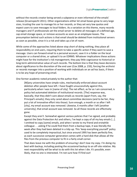without the records creator being served a subpoena or even informed of the emails' release (Gruenspecht 2011). Other organizations either let email boxes grow to very large sizes, trusting the user to manage his or her records, or they set very low quotas and expect users to save messages to local folders. As a variation on this theme, many records managers and IT professionals set the email server to delete all messages of a defined age, cap email storage space, or remove accounts as soon as an employee leaves. The presumption behind such actions is that email should be deleted from institutional servers as soon as possible, since it is a risk and takes up a lot of room.

While some of the approaches listed above stop short of doing nothing, they place all responsibility on end users, requiring them to take a specific action if they want to save a message. Users can forward email to a personal account, save it in a folder on the local computer or a shared drive, or upload it to an EDRMS. Whatever implications these actions might have for the institution's risk management, they pay little cognizance to historical or long-term administrative value of such records. The bottom line is that they leave decisions about significance to the discretion of the end user (Cox 2008, p. 233), forcing the archivist or records manager into a position of working with individuals on an ad hoc basis, if there is to be any hope of preserving email.

One former academic noted privately to the author that:

I have fought unsuccessfully against this,<br>ee of cityl. The net effect, as far as I am concerned, is<br>of institutional records. [The] response was,<br>about emails as records (apart from, say, the<br>red about committee decisions [M]any universities have simple rules, mechanically enforced about account deletion after people have left. I have fought unsuccessfully against this, particularly when I was in [name of city]. The net effect, as far as I am concerned, is policy-led automated deletion of institutional records. [The] response was, basically, that they didn't care about emails as records (apart from, say, the Principal's emails); they only cared about committee decisions (and to be fair, they put a lot of innovative effort into those). Sure enough, a month or so after I left [city], my email account was removed. Likewise, 6 months after I left [another university], that email account was removed. So all those records are effectively gone.

Except they aren't. Somewhat against various policies that I've signed, and probably against the Data Protection Act and others, I've kept a copy of all my key emails […]. I omitted to copy [some] emails, and when I wrote to my friend and erstwhile colleague . . .asking if he could find them from a backup tape, it was literally the week after they had been deleted in a tidy-up. This 'keep everything yourself' policy used to be completely impractical, but since around 1995 has been perfectly fine, as each successive computer generation comes with a hard disk that allows all the files from the previous computer to fit in a fairly small corner.

That does leave me with the problem of ensuring I don't lose my copy. I'm doing my best with backup, including posting the occasional backup to an off-site relative. My next responsibility will be what to do with this lot when I die. It's possible, even likely, that no one is interested. I'm not sure how I'll find out!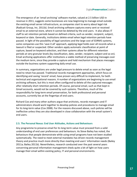The emergence of an 'email archiving' software market, valued at 2.5 billion USD in revenue in 2011, suggests some businesses are now beginning to manage email outside the existing email server infrastructure, as companies start to worry about legal risk (Radicati Group, Inc. 2011b). Email archiving software captures every sent or received email to an external store, where it cannot be deleted by the end users. It also allows IT staff to set retention periods based on defined criteria, such as sender, recipient, subject, keyword or date. Generally, institutions delete email when legal retention periods have passed. In light of the possibility of legal sanctions and the large cost of EDRMS systems, some companies use this 'save it all' approach, applying legal holds over all records when a lawsuit is filed or suspected. Other vendors apply automatic classification at point of capture, based on keyword selection, and their systems allow for different retention periods at very granular levels (by classification, date, sender, recipient, subject and so on). Email archiving applications offer institutions a viable method of preserving messages over the medium term, since they provide a capture and hold mechanism that places messages outside the business system supporting daily email use.

In summary, organizations are under legal pressure to delete email as soon as the legal need to retain has passed. Traditional records management approaches, which focus on identifying and saving 'record' email, have proven very difficult to implement, for both technical and organizational reasons. A number of organizations are beginning to use email archiving software, but this is most often configured to delete all the captured messages after relatively short retention periods. Of course, personal email, such as that kept in Gmail accounts, would not be covered by such systems. Therefore, much of the responsibility for long-term email preservation, for both professional and personal accounts, currently lies at the fingertips of end users.

Richard Cox and many other authors argue that archivists, records managers and IT administrators should work together to develop policies and procedures to manage email for its long-term value (Cox 2008). For the reasons discussed above, such policies will be ineffective unless they are also developed in close collaboration with the email system's end users.

# <span id="page-22-0"></span>**2.5. The Personal Nexus: End User Attitudes, Actions and Behaviours**

I. Of course, personal email, such as that kept in<br>by such systems. Therefore, much of the<br>ervation, for both professional and personal<br>as of end users.<br>Type that archivists, records managers and IT<br>o develop policies and Any programme to preserve email for its long-term value must proceed from a solid understanding of end user preferences and behaviours. As Steve Bailey has noted, the behaviours that people demonstrate while using email programs have not been studied systematically. The need to meet external mandates has driven records management theory and practice much more directly than meeting end users' information needs (Bailey 2011a; Bailey 2011b). Nevertheless, research conducted over the past several years concerning personal information management sheds quite a bit of light on how users manage their email within existing policy, IT and personal environments.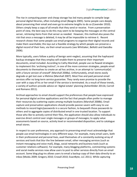The rise in computing power and cheap storage has led many people to compile large personal digital libraries, often including email (Beagrie 2005). Some people care deeply about preserving their email and even go to extreme lengths to do so (Cavender 2010). Others simply keep a copy of all emails that they send or receive. From a preservation point of view, the best way to do this may seem to be keeping the messages on the central server, retrieving items from that server as needed. However, this method also poses the risk that once a message is deleted, it may be all be impossible to retrieve it. Recent research shows that some people use email programs to organize their digital records and make them searchable; this lays out a feasible strategy by which people can preserve a digital record of their lives, via their email accounts (see Whittaker, Bellotti and Gwizdka 2006).

More typically, users follow a policy of benign semi-neglect, assuming that the haphazard backup strategies that they employ will enable them to preserve their important documents, email included. According to Cathy Marshall, people use six flawed strategies to implement this 'archiving instinct'; in one of the more common strategies, people email documents to themselves to create an ad hoc archive, in an attempt to 'communicat[e] with a future version of oneself' (Marshall 2008a). Unfortunately, email stores easily degrade or get lost over a lifetime (Marshall 2007). Most free and paid personal email services offer no long-term service guarantee. They rarely even promise to provide the user with a copy of his or her email if the service is terminated. As a result of these trends, a variety of authors provide advice on 'digital estate' planning (Ashenfelder 2011b; Carroll and Romano 2011).

'digital estate' planning (Ashenfelder 2011b; Carroll<br>upport the preferences that people have expressed<br>s and the fact that people often prefer to manage<br>mong multiple locations (Marshall 2008b). Email<br>should provide passi Archival approaches to email should support the preferences that people have expressed for personal digital archive applications and the fact that people often prefer to manage their resources by scattering copies among multiple locations (Marshall 2008b). Email capture and preservation applications should provide passive savers with easy to use methods to record login/passwords in a secure fashion, to bequeath those passwords to others and to aggregate copies of distributed email in one trusted location. To support those who like to actively control their files, the application should also allow individuals to exercise direct control over single messages or groups of messages; to apply value assessments based on source, activity level or recommended disposition; and to catalogue email stores.

In respect to user preferences, any approach to preserving email must acknowledge that people use email technologies in very different ways. For example, many email users, both in their professional and personal lives, avail themselves of a constantly evolving array of services and tools that blur the line between email, other messaging services (such as instant messaging and voice mail), blogs, social networks and business tools (such as customer relations software). For example, many blogging platforms, commenting systems and social media services now allow users to post to other services directly from an email account. Some blog plug-ins allows users to email a backup copy of their data directly to an inbox (Moidu 2009; Gregory 2010; Croxall 2010; ExactByte, LLC 2011). While capturing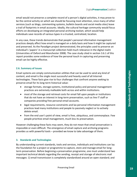email would not preserve a complete record of a person's digital activities, it may prove to be the central activity on which we should be focusing most attention, since many of other services (such as blogs, commenting systems, bulletin boards and social media sites) leave a trail of footprints in email accounts. Ideally, the cultural heritage community would focus efforts on developing an integrated personal archiving toolset, which would help individuals save records of various types in a trusted, centralized, location.

In any case, these trends demonstrate that people's personal information management practices deeply affect how email is managed on a daily basis and how it might be captured and preserved. As the Paradigm project demonstrated, the principles used to preserve an individual's 'papers' in a manuscript collection hold much relevance in the digital realm (Universities of Oxford and Manchester 2008). The case study cited in section 3.6.1 of this report provides some evidence of how the personal touch in capturing and preserving email can be highly effective.

#### **2.6. Summary of Issues**

<span id="page-24-0"></span>Email systems are simply communication utilities that can be used to send any kind of content, and email is the single most successful and heavily used of all Internet technologies. These facts give rise to four challenges that confront anyone seeking to preserve email for its long-term historical value:

- storage formats, storage systems, institutional policy and personal management practices are extremely malleable both across and within institutions.
- most of the storage and retrieval costs for email fall upon people or institutions that do not have an interest in long-term preservation, such as line IT staff or companies providing free personal email accounts.
- legal requirements, resource constraints and lax personal information management practices lead many institutions and people to passively neglect or to actively delete email.
- from the end user's point of view, email is free, ubiquitous, and commonplace. Few people prioritize email management, much less its preservation.

However challenging these facts may seem, they do not mean that email preservation is impossible or even difficult. The emergence of email capture and archiving programs provides us with powerful tools – provided we know to take advantage of them.

#### <span id="page-24-1"></span>**3. Standards and Technologies**

ion utilities that can be used to send any kind of<br>uccessful and heavily used of all Internet<br>cical value:<br>tical value:<br>the cical value:<br>the cical value:<br>the cical value:<br>the cical value:<br>the cical value:<br>the cical value:<br> By understanding current standards, tools and services, individuals and institutions can lay the foundation for a project or programme to capture, store and manage email for longterm preservation. Before beginning a preservation programme, one must understand two important technical details regarding the sending, receipt and storage of electronic mail messages: 1) email transmission is completely standardized around an open standard; and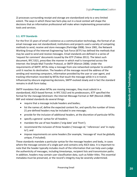2) processes surrounding receipt and storage are standardized only to a very limited extent. The ways in which these two facts play out in a local context will shape the decisions that an information professional will make when implementing preservation tools and services.

# **3.1. IETF Standards**

<span id="page-25-0"></span>For the first 15 years of email's existence as a communication technology, the format of an email message was not standardized; institutions and projects used a variety of competing methods to send, receive and store messages (Partridge 2008). Since 1981, the Network Working Group of the Internet Engineering Task Force (IETF) has defined the methods that may be used to send and receive messages. Email standards are defined in a series of 'request for comment' documents issued by the IETF (Tobias 2011). The latest such document, RFC 5321, prescribes the manner in which mail is transported across the Internet: the Simple Mail Transfer Protocol, or SMTP (Klensin 2008). Under the requirements of SMTP, MTAs relay a message from one networked computer to another until it reaches its destination. The headers of the message record the address of the sending and receiving computers, information provided by the user or user agent, and tracking information recorded by MTAs that touch the message while it is in transit. Influenced by obscure engineering decisions, SMTP evolved slowly and in fact the standard remains in draft form today.

SMTP mandates that when MTAs are moving messages, they must subsist in a standardized, ASCII-based format. In RFC 5322 and its predecessors, IETF specified the format for the message bitstream: the Internet Message Format or IMF (Resnick 2008). IMF and related standards do several things:

- require that a message include headers and bodies;
- list the names of, define the expected content for, and specify the number of times 21 pre-defined headers may be included in one message;
- provide for the inclusion of additional headers, at the discretion of particular MTAs
- specify a general syntax for all headers;
- mandate the use of two headers ('orig-date' and 'from');
- recommend the inclusion of three headers ('message-id,' 'references' and 'in-replyto'); and
- impose requirements on some headers (for example, 'message-id' must be globally unique, if included).

Nutries of the message record of the court of the standard of the message record of the turnantion provided by the user or user agent, and<br>standard standard and the message while it is in transit.<br>The standard moving messa These standards mandate a particular syntax for the message headers and body, in cases where the message consists of a single part and contains only ASCII data. It is important to note that the header typically includes much of the information that can help users judge the authenticity of messages, including timestamps, recipient lists and transmission paths. In addition, headers may contain user classification data, such as folder titles. This essential metadata must be preserved, or the record's integrity may be severely undermined.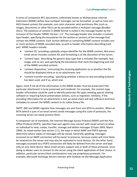A series of companion RFC documents, collectively known as Multipurpose Internet Extensions (MIME) define how multipart messages can be formatted, as well as how non-ASCII-based content (for example, non-Latin character sets) and binary files (such as images, documents or other files) can be encoded within a multipart message (Brodkin 2011). The existence of content in MIME format is noted in the message header by the inclusion of the header 'MIME-Version: 1.0'. The message header also includes a contenttype header, specifying the boundaries for the section or sections of the message that contain the MIME content. Each section defined as containing MIME content includes one or more sections of MIME-encoded data, as well as header information describing each part. MIME headers include:

- 'content-ID,' providing a globally unique identifier for the MIME content. Not every email server includes content IDs and formatting is at the discretion of the server;
- 'content-type,' describing the generic data type that is included (for example, text, image, and so on), and specifying the boundaries that mark the beginning and end of the MIME-encoded content;
- 'content-disposition,' instructing the receiving application as to whether the file should be displayed inline or as an attachment; and
- 'content-transfer-encoding,' specifying whether a binary to text encoding protocol has been used, and if so, which one.

Again, most if not all of the information in the MIME header must be preserved if the particular attachment is to be preserved and rendered. For example, the content-type header information could be used to identify particular file types needing special viewing software or requiring future preservation actions, such as migration. Similarly, if the encoding information for an attachment is lost, an email client will lack sufficient technical metadata to convert the MIME content to its native binary file.

SMTP, IMF and MIME regulate how messages are sent from one MTA to another. When an MTA (which is part of an email server) sends messages using this suite of protocols, the receiving server can easily process them.

San attachment; and<br>
ecifying whether a binary to text encoding protocol<br>
one.<br>
In in the MIME header must be preserved if the<br>
dentrify particular file types needing special viewing<br>
dentrify particular file types needing A companion set of standards, the Internet Message Access Protocol (IMAP) and the Post Office Protocol (POP3), specifies how user agents may connect with email servers to allow an individual to view, create, transfer, manage and delete messages (Crispin 2003; Myers 1996). As noted earlier (see section 2.1), the ways in which IMAP and POP3 operate determine where copies of messages will be stored. Generally speaking, messages accessed via an IMAP connection will be easier to preserve, because copies will most likely be retained on the server and may also be replicated to local devices. On the other hand, messages accessed via a POP3 connection will likely be deleted from the server and kept only on one client device. Most email servers support one or both of these protocols, since doing so allows users to connect to the server using the client application of their choice. In addition, particular server/client combinations may use proprietary protocols. For example, Microsoft Exchange Servers interact with Outlook via the Message Application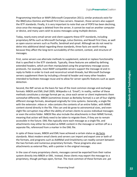Programming Interface or MAPI (Microsoft Corporation 2011); similar protocols exist for the IBM/Lotus Domino and Novell First Class servers. However, those servers also support the IETF standards. Finally, it is very important to note that use of POP3 has been declining, since once the message is deleted from the server, it cannot be read on another computer or device, and many users wish to access messages using multiple devices.

Today, nearly every email server and client supports these IETF standards, including proprietary MTAs such as Microsoft Exchange, Lotus Domino, and Novell First Class, as well as open-source servers such as Postfix, Sendmail and qmail. Although we do not need to delve into additional detail regarding these standards, three facts are worth noting because they affect the long-term survivability of the content, context, and structure of messages.

First, some servers use alternate methods to supplement, extend or replace functionality that is specified in the IETF standards. Typically, these features are added by defining extended headers, which are then manipulated using the proprietary message access protocols. For example, most IMAP-compatible servers support the message-id and inreply-to fields in order to track and reconstruct email-threads, but Microsoft Exchange servers supplement them by including a thread-id header and many other headers intended to facilitate message reuse and to allow for server-specific features such as spam detection.

construct email-threads, but Microsoft Exchange<br>a thread-id header and many other headers<br>md to allow for server-specific features such as spam<br>five of the most common storage and exchange<br>dikipedia n.d. 'Email'). In reali Second, the IMF serves as the basis for two of the most common storage and exchange formats: MBOX and EML (Hall 2005; Wikipedia n.d. 'Email'). In reality, neither of these methods constitutes a storage format per se, since each server or client implements them somewhat differently. MBOX (sometimes known as Berkeley format) is a set of four slightly different storage formats, developed originally for Unix systems. Generally, a single file with the extension .mbox or .mbx contains the contents of an entire folder, with MIME content stored directly in the file. Files can and do grow to astronomical sizes, and even slight file corruption may affect the ability of certain clients to access individual messages or even the entire folder. MBOX files also include the attachments in their MIME format, meaning that action will likely need to be taken to migrate them, if they are to remain accessible in the future. EML files typically store each message as a single file, and attachments may either be included as MIME content in the message or written off as a separate file, referenced from a marker in the EML file.

In spite of these issues, MBOX and EML have achieved a certain status as de facto standards. Most modern email clients and servers can import and export one or both of the formats, and programs such as Aid4Mail and Emailchemy can readily convert between the two formats and numerous proprietary formats. These programs also save attachments as external files, with a pointer in the original message.

In the case of many proprietary clients, messages cannot be exported from their native system directly into MBOX or EML. Instead, these clients may export the message to a proprietary, though perhaps open, format. The most common of these formats are .pst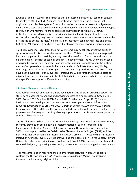(Outlook), and .nsf (Lotus). Tools such as those discussed in section 3.4 can then convert these files to MBOX or EML. Similarly, an institution might come across email that originated in an obsolete system. Extraordinary efforts may be necessary to migrate such email. In this case, tools such as Aid4Mail, Emailchemy or Xena can convert many file types to MBOX or EML formats. As the Oxford case study cited in section 3.6.1 shows, institutions may need to exercise creativity in migrating files if standard tools do not support them, or they may need to use relatively expensive forensics software, such as the FTK toolkit, to access the files.<sup>3</sup> In general, if an institution can get email into one of the MBOX or EML formats, it has taken a very big step on the road toward preserving email.

Third, removing messages from their native systems may negatively affect the ability of systems to search, discover, retrieve or render them. This is not to say that messages will become completely inaccessible; in many cases the benefits of format neutrality can be balanced against the risk of keeping email in its native format. The XML conversion tools discussed below can be very useful in achieving format neutrality. However, the author is aware of no general-purpose tools that are intended to facilitate the access, display, searching, or visualization of messages that have been migrated to XML. Until such tools have been developed – if they ever are – institutions will be forced to provide access to migrated messages using an email client of their choice or the user's choice, recognizing that specific tools support different functionality.

# **3.2. Proto-Standards for Email Storage**

l

<span id="page-28-0"></span>As Maureen Pennock and several others have noted, XML offers an attractive option for storing and potentially managing and providing access to email messages (Green, et al., 2002; Potter 2002; Scholtes 2006b; Baron 2010; Goethals and Gogel 2010). Several institutions have developed XML formats to store messages or account information (Boudrez 2006; Carden 2011; Klyne 2003; Library of Congress 2010; Minor 2008; Digital Preservation Testbed 2003). In theory, using an XML format should facilitate the long-term preservation of message content by allowing organizations to write email messages into a self-describing file or files.

e – institutions will be forced to provide access to<br>
mt of their choice or the user's choice, recognizing<br>
ectionality.<br>
e<br>
e<br>
e<br>
e<br>
e<br>
e<br>
e<br>
e<br>
e<br>
a matractive option for<br>
providing access to email messages (Green, et al The Email Account Schema, an XML format developed by David Minor and Steve Burbeck, currently provides an excellent initial implementation of such a storage format (Smithsonian Institution Archives 2008; North Carolina Office of Archives and History 2009). Jointly sponsored by the Collaborative Electronic Records Project (CERP) and the Electronic Mail Collection and Preservation (EMCAP) project, it is used by the Smithsonian Institution Archives, several US state archives and the Rockefeller Archives Center. Harvard University is also considering its use (Goethals and Gogel. 2010). In general, the standard is very well designed, supporting the encoding of extended headers using paired <name> and

 $3$  For more information regarding the use of forensics software in preserving digital content, see the forthcoming *DPC Technology Watch Report: Digital Forensics and Preservation*, by Jeremy Leighton John.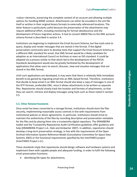<value> elements, preserving the complete content of an account and allowing multiple options for handling MIME content. Attachments can either be encoded in the xml file itself or written in their original binary formats to externally referenced locations. The latter feature is particularly useful because the preservation of the attachments may require additional effort, including monitoring for format obsolescence and the development of future migration actions. A tool to convert MBOX files to the XML account schema format is described in section 3.4.

Institutions are beginning to implement the Email Account Schema, but few tools exist to query, display and render messages that are stored in the format. If the digital preservation community were to develop tools that support the Email Account Schema or a different XML standard for email, that XML format would be a likely candidate for adoption as an International Council on Archives or even an ISO standard. It could be adopted via a process similar to that which led to the development of the PDF/A. Standards development would also be greatly facilitated by the development of applications that allow users to search, discover, view and visualize messages that are stored in the XML format.

Until such applications are developed, it may seem that there is relatively little immediate benefit to be gained by migrating email into an XML-based format. Therefore, institutions that decide to keep email in an XML format should also keep a copy of messages in one of the IETF formats, preferable EML, since it allows attachments to be written as separate files. Repositories should closely track the location and formats of attachments, so that they can search, retrieve and display messages using tools such as those noted in section 3.5.

# <span id="page-29-0"></span>**3.3. Other Related Standards**

It may seem that there is relatively little immediate<br>il into an XML-based format. Therefore, institutions<br>romat should also keep a copy of messages in one of<br>the location and formats to be written as separate<br>the location Once email has been converted to a storage format, institutions should store the files securely, implementing reasonable access controls in line with requirements from institutional policies or donor agreements. In particular, institutions should strive to maintain the authenticity of the files by recording descriptive and preservation metadata for the files and by placing them into a trustworthy digital repository. The DRAMBORA toolkit and the Trustworthy Repositories Audit Certification guidelines offer guidance and help (DRAMBORA Project n.d.; Dale and Ambacher 2007). In addition, repositories should develop a long-term preservation strategy, in line with the requirements of the Open Archival Information System Reference Model (Consultative Committee for Space Data Systems 2002) or the functional requirements specified by the InterPARES project (InterPARES Project n.d.).

These standards imply that repositories should design software and hardware systems and implement them with capable people and adequate funding, in order to fulfil the following email preservation functions:

• identifying file types for attachments;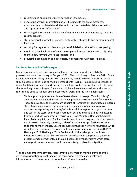- recording and auditing file fixity information (checksums);
- generating archival information packets that include the email messages, attachments, associated descriptive and structural metadata, fixity information, and representation information;<sup>4</sup>
- recording the existence and location of non-email records generated by the same records creator;
- storing archival information packets, preferably replicated to two or more physical locations;
- securing files against accidental or purposeful deletion, alteration or tampering;
- monitoring the file format of email messages and related attachments, migrating them to new formats where appropriate; and
- providing dissemination copies to users, in compliance with access policies.

#### **3.4. Email Preservation Technologies**

l

<span id="page-30-0"></span>Many resources describe and evaluate software that can support general digital preservation work (see Library of Congress 2011; National Library of Australia 2011; Open Planets Foundation 2011; CJ Prom 2010). In general, people wishing to preserve email should become skilled in using multiple email clients (such as Thunderbird, Exchange, or Apple Mail) to import and export messages, building a skill set for working with old email clients and migration software. Once such skills have been developed, several types of tools can be used to support email preservation work, in three functional areas:

software that can support general digital<br>2013; Databonal Library of Australia 2011; Open<br>20. In general, people wishing to preserve email<br>e email clients (such as Thunderbird, Exchange, or<br>email clients (such as Thunderbi 1. **Tools supporting capture at time of transmission or receipt.** 'Email archiving' applications include both open-source and proprietary software and/or hardware. These tools capture the text stream at point of transmission, saving it to an external store. More sophisticated packages include the ability to filter messages on capture, perhaps using a 'miltering' (that is, mail filtering) technology, to browse and search the store, and to apply retention periods and audit rules to messages. Examples include Symantec Enterprise Vault, Iron Mountain Nearpoint, Smarsh Email Archiving Suite, and Mail Archiva (a dual-licensed program, discussed in more detail below). Generally speaking, such software requires professional systems support and maintenance. Several resources provide reviews or evaluations, which would provide essential help when making an implementation decision (Hill 2011; Harbaugh 2010; Harbaugh 2011). To the author's knowledge, no published literature discusses the ability of vendor-provided email compliance systems to preserve email permanently, although it seems likely that systems which store messages in an open format would be more likely to allow for migration.

 $4$  For common attachment types, representation information may be provided by file extension associations established on the server or client machine. Ideally such information would be recorded in the archival information packet.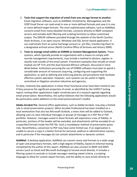- 2. **Tools that support the migration of email from one storage format to another.** Email migration software, such as Aid4Mail, Emailchemy, MessageSave and the CERP Email Parser can read email in one or more defined formats and save it in one or more defined target formats. The most sophisticated software, such as Aid4Mail, converts email from many obsolete formats, connects directly to IMAP compliant servers and includes both filtering and scripting functions to allow customized output. The EMCAP software provided through the website of the North Carolina State Archives, is an open-source, Windows and SQL Server-based application. It can read emails from an active Exchange account or .pst files, transferring them to a designated archival server (North Carolina Office of Archives and History 2009).
- 3. **Tools to manage email within an EDRMS or Content Management System.** These systems, which typically provide an organization with a means to comply with records management requirements, may include a method to declare, register or classify mail outside of the email system. Prominent examples that include an email module are HP Trim and the dual-licensed Alfresco software, discussed in more detail below. Institutions pursuing the use of EDRMS software must plan to spend a considerable amount of resources acquiring, configuring and supporting the application, as well as defining and enforcing policies and procedures that facilitate effective system operation. However, such systems can be useful in highly centralized or litigation-sensitive industries and agencies.

To date, relatively few applications in these three functional areas have been tested to see if they preserve the significant properties of email, as identified by the InSPECT testing report; testing other applications might constitute part of a research agenda regarding email preservation. Nevertheless, the author believes that the following applications would be particularly useful additions to the email preservationist's toolkit:

rese acquiring, configuring and supporting the<br>
and enforcing policies and procedures that facilitate<br>
wever, such systems can be useful in highly<br>
ve industries and agencies.<br>
these three functional areas have been tested **Adobe Acrobat Pro.** General office applications, such as Adobe Acrobat, may play a limited role in email preservation projects. When Acrobat Professional has been installed on a local workstation that also has Microsoft Outlook, a menu item will be added to Outlook, allowing users to save individual messages or groups of messages to a PDF file or PDF portfolio. However, messages saved in these formats will experience a loss of fidelity. In particular, portions of the header will be excluded, and attachments will be encoded (in an unspecified format) inside the PDF file. Such a roundabout method of preservation poses risks. Nevertheless, conversion to PDF may have some limited use, if an organization is unable to secure a copy in a better format for personal, political or administrative reasons, and in particular if the messages do not contain attachments or dynamic content.

**Aid4Mail**. A desktop application, Aid4Mail can convert many mail formats to a wide range of open and proprietary formats, with a high degree of fidelity, based on informal testing completed by the author of this report. Aid4Mail can also connect to IMAP and MAPI servers (such as Gmail and Microsoft Exchange) to harvest email directly. It includes a filtering system to exclude or include messages meeting stated criteria, a scripting language to allow for custom export formats, and the ability to save emails directly to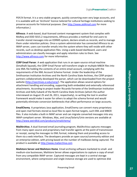PDF/A format. It is a very stable program, quickly converting even very large accounts, and it is available with an 'Archivist' licence tailored for cultural heritage institutions seeking to preserve accounts for historical purposes. (See [http://www.aid4mail.com](http://www.aid4mail.com/) for more information.)

**Alfresco**. A web-based, dual-licensed content management system that complies with MoReq and DOD 5015.2 requirements, Alfresco provides a method for end users to transfer stored messages into an EDRMS system, declare emails as records, and to manage them under retention policies. Once a system administrator has connected Alfresco to an IMAP server, users can transfer emails into the system where they will reside with other records, such as desktop application files. Using a web-based dashboard, users and administrators can classify messages and apply retention rules to them. See [http://www.alfresco.com](http://www.alfresco.com/) for more information.

ema Format. Under the leadership of the<br>
he North Carolina State Archives, the CERP project<br>
parser, which can be downloaded from the project<br>
2). The application allows several options for<br>
preserving both embedded and ex **CERP Email Parser**. A web application that runs in an open-source virtual machine (Smalltalk Squeak), the CERP Email Parser will transform single or multiple MBOX files into one XML file holding the contents of an entire email account, complying with the requirements of the XML Account Schema Format. Under the leadership of the Smithsonian Institution Archives and the North Carolina State Archives, the CERP project partners collaboratively developed the parser, which can be downloaded from the project website [\(http://siarchives.si.edu/cerp/\)](http://siarchives.si.edu/cerp/). The application allows several options for attachment handling and encoding, supporting both embedded and externally referenced attachments. According to project leader Riccardo Ferrante of the Smithsonian Institution Archives and Kelly Eubank of the North Carolina State Archives (whom the author interviewed on August 25 and 26, 2011, respectively), re-writing the tool in another framework would make it easier for others to adopt the schema format and would potentially eliminate conversion bottlenecks that affect performance on large accounts.

**EmailChemy**. A proprietary Java application, EmailChemy can convert many proprietary and open mail formats stored as local files to open-format targets, such EML and MBOX files. It also includes a built-in IMAP server and can migrate converted messages into any IMAP-compliant server. Windows, Mac, and Linux/Solaris/Unix versions are available at <http://www.weirdkid.com/products/emailchemy/>

**MailArchiva**. A dual-licensed email journaling program, MailArchiva captures messages from many open source and proprietary mail transfer agents at the point of transmission or receipt, saving the messages to EML format, indexing them and providing access to them via a web interface. The developers provide an open source/community edition and an enterprise edition, with pricing based on the number of mailboxes being captured. The product is available at [http://www.mailarchiva.com](http://www.mailarchiva.com/)

**Mailstore Server and Mailstore Home**. Email archiving software marketed to small- and medium-size businesses, Mailstore Server allows organizations to capture a copy of email from any compatible IMAP server. Captured messages are kept in a central storage environment, where compression and single instance storage are used to optimize disk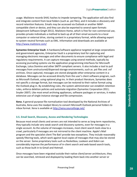usage. Mailstore records SHA1 hashes to impede tampering. The application will also find and integrate content from local folders (such as .pst files), and it includes e-discovery and record retention features. Emails may be accessed via Outlook or another IMAPcompatible client or device, and they can also be exported to several open formats (deepinvent Software GmgH 2011). Mailstore Home, which is free for non-commercial use, provides private individuals a method to back up all of their email accounts to a local computer or external drive, storing content in a proprietary format, while allowing export to system neutral formats such as EML. Information and downloads are available at <http://www.mailstore.com/>

**Symantec Enterprise Vault**. A hardware/software appliance targeted at large corporations and government agencies, Enterprise Vault is a proprietary tool for capturing and managing electronic messages and other documents to ensure compliance with legal and regulatory requirements. It can capture messages using several methods, typically by accessing journaling systems via the application programming interfaces for Microsoft Exchange, Lotus Domino and other SMTP compliant servers. It also includes a tool to pull messages from unstructured/dispersed storage environments, such as .pst files and .nsf archives. Once captured, messages are stored alongside other enterprise content in a database. Messages can be accessed directly from the user's client software program, such as Microsoft Outlook, using optional plug-ins. In their product literature, Symantec does not specific a storage format, but messages can be restored to their native format using the Outlook plug-in. By establishing rules, the system administrator can establish retention rules, enforce deletion policies and automate migration (Symantec Corporation 2011; Snyder 2007). Like most email archiving appliances, software packages or services, it makes extensive use of single instance storage and file compression.

**Xena**. A general-purpose file normalization tool developed by the National Archives of Australia, Xena uses the readpst library to convert Microsoft Outlook personal folders to mbox format. Xena is available at<http://xena.sourceforge.net/>

# <span id="page-33-0"></span>**3.5. Email Search, Discovery, Access and Rendering Technologies**

e stored alongside other enterprise content in a<br>
litectly from the user's client software program, such<br>
lug-ins. In their product literature, Symantec does<br>
sages can be restored to their native format using<br>
les, the sy Because most email clients and servers are not intended to serve as long-term repositories, they typically include very weak search and discovery systems, even for messages in a single account. As the volume of messages increases, most client search tools slow to a crawl, particularly if messages are not mirrored to the client machine. Apple's Mail program and the specialist client The Bat! provide two exceptions. They include reasonably speedy filtering tools, which work against local copies of messages that may also be stored on the server. Some proprietary tools such as Rocketbox, Lookeen and Xobni can considerably improve the performance of in-client search and web-based search tools, such as those built in to Gmail and Hotmail.

Once messages have been migrated outside their native client/server architecture, they can be searched, retrieved and displayed by loading them back into another server or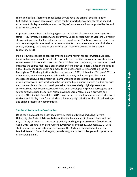client application. Therefore, repositories should keep the original email format or MBOX/EML files as an access copy, which can be imported into email clients as needed. Attachment display would depend on the file/software associations supported by the end user's client computer.

At present, several tools, including Hypermail and Aid4Mail, can convert messages to a static HTML format. In addition, a tool currently under development at Stanford University shows exciting potential for making preserved email useful. The Muse program, which can capture messages from several server environments to a local computer, also includes a search, browsing, visualization and analysis tool (Stanford University, Mobisocial Laboratory 2011).

mova University 2011; University of Virginia 2011). In<br>the second, discovery and access portal for email<br>
2008 XML would take considerable research and<br>
the facilitated by collaboration with funding agencies<br>
shawe been de If an institution chooses to convert email to an XML format for preservation purposes, individual messages would only be discoverable from the XML source after constructing a separate search index and access tool. Once this has been completed, the institution could integrate the source files into a preservation system (such as Fedora), index the files using a tool like Apache Lucene Solr, and make them discoverable using something like the Blacklight or VuFind applications (Villanova University 2011; University of Virginia 2011). In other words, implementing a merged search, discovery and access portal for email messages that have been preserved in XML would take considerable research and development work. Such work would be facilitated by collaboration with funding agencies and commercial entities that develop email software or design digital preservation services. Some web-based access tools have been developed by private parties; the opensource software used the former Alaska governor Sarah Palin's emails provides one example (The Sunlight Foundation 2011). In general, the development of search, discovery, retrieval and display tools for email should be a very high priority for the cultural heritage and digital preservation communities.

#### **3.6. Email Preservation Case Studies**

<span id="page-34-0"></span>Using tools such as those described above, several institutions, including Harvard University, the State of Arizona Archives, the Smithsonian Institution Archives, and the Royal Library of Denmark are currently actively working to preserve email (Goethals and Gogel 2010; Schmitz Fuhrig and Adgent 2008; PeDALS Project 2010; Jensen 2011). Case studies of preservation actions undertaken at the Bodleian Library, Oxford, and the Medical Research Council, Glasgow, provide insight into the challenges and opportunities of preserving email.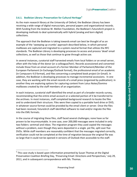# **3.6.1. Bodleian Library: Preservation for Cultural Heritage<sup>5</sup>**

<span id="page-35-0"></span>As the main research library at the University of Oxford, the Bodleian Library has been receiving a wide range of digital manuscripts, personal papers and organizational records. With funding from the Andrew W. Mellon Foundation, the Bodleian's futureArch project is developing methods to deal systematically with hybrid (analog and born digital) collections.

The approach that the Bodleian is taking towards email can best be thought of as an example of the 'sweeping up crumbs' approach described below, in which personal mailboxes are captured and migrated to a system-neutral format that utilizes the RFC standards. The Bodleian Library is developing processes to access and process 'dead' email collections, as well as those that continue to grow through active use.

In several instances, curatorial staff harvested emails from local folders or an email server, often with the help of the donor (or a colleague/heir). Records accessioned and converted include those from an email account of a former Member of Parliament/Member of the European Parliament (in Exchange/Outlook format), the professional email of an academic (in Compuserv 4.0 format), and files concerning a completed book project (in Gmail). In addition, the Bodleian is developing processes to manage incremental accessions. In one case, they are working with the email records of a small press (organized by publication); in another they are exploring options for capturing content from Lotus Notes/Domino mailboxes created by the staff members of an organization.

In each instance, curatorial staff identified the email as part of a broader records survey, recommending that the entire email account or a selected portion of it be transferred to the archives. In most instances, staff completed background research to locate the files and to understand their structure. Files were then copied to a portable hard drive or DVD, in whatever source format could be provided by the email client or server. Once the files had been received, futureArch staff identified software to read and/or migrate the files into the EML formats.

nook voltingt, the protessional emimor and acconsisting a completed book project (in Gmail). In<br>ordersector of a small press (organized by publication); in<br>capturing content from Lotus Notes/Domino<br>capturing content from L In the course of migrating these files, staff faced several challenges; none have so far proven to be insurmountable. In one case, over 200,000 messages were included in only two folders: sentmail and inbox. The migration program they used copied the messages without a problem, even though they were deposited in a single .pst file, split over five DVDs. While staff members are reasonably confident that the messages migrated correctly, verification could not be completed at the time of migration because the original file was so large that it could not be opened in versions of Outlook then accessible to the staff.

l

<sup>&</sup>lt;sup>5</sup> This case study is based upon information presented by Susan Thomas at the Digital Preservation Coalition Briefing Day, 'Preserving Email: Directions and Perspectives,' July 29, 2011, and in subsequent correspondence with Ms. Thomas.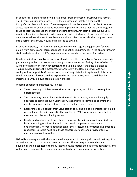In another case, staff needed to migrate emails from the obsolete CompuServe format. This became a multi-step process. First they located and installed a copy of the CompuServe client application. The messages could not be viewed in the client because access required an active account. However, it proved fortunate that the client program could be located, because the migration tool that futureArch staff located (CS2Eduora) required the client software in order to operate. After finding an old version of Eudora on an abandoned website, staff members were able to view the emails, then migrate them into a format that could, in turn, be migrated to EML files.

In another instance, staff faced a significant challenge in segregating personal/private emails from professional correspondence (a donation requirement). In the end, futureArch staff used a forensics tool, FTK, to present a set of emails to the donor for review.

Finally, email stored in a Lotus Notes local folder (.nsf files) or on Lotus Domino servers is particularly problematic. Notes has a very poor end-user export facility. FutureArch staff wished to establish an IMAP connection to the Domino server, then use a client like Thunderbird to migrate the messages. Unfortunately, the Domino server was not configured to support IMAP connections, so staff negotiated with system administrators to see if selected mailboxes could be exported using server tools, which could then be migrated to EML, in a two-step migration process.

Oxford's experience illustrates four points:

- There are many variables to consider when capturing email. Each case requires different tools.
- The community needs characterization tools. For example, it would be highly desirable to complete audit verification, even if it was as simple as counting the number of emails and attachments before and after conversion.
- Researchers could benefit from visualization tools and client-like interfaces to make research use of email. In practical terms, files in EML format can be imported to most current clients, allowing access.
- ns, so staff negotiated with system administrators to<br>orher using server tools, which could then be<br>ion process.<br>ints:<br>ints:<br>sincerving Email Exact acceleration of the presence of<br>presence and after conversion.<br>Final inter • Finally (and perhaps most importantly), successful email preservation projects are built on trusting relationships and professional competence. People are understandably nervous about donating semi-structured information like email to a repository. Curators must take those concerns seriously and provide effective mechanisms to address them.

Oxford is pursuing a practical and sustainable approach to dealing with email that might be accessioned as part of a broader records transfer. The techniques the Bodleian is developing will be applicable to many institutions, no matter their size or funding level, and will prepare them well for managing email within future digital repository settings.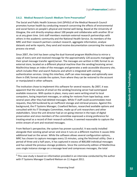# **3.6.2. Medical Research Council: Medium-Term Preservation<sup>6</sup>**

<span id="page-37-0"></span>The Social and Public Health Sciences Unit (SPHSU) of the Medical Research Council promotes human health by conducting research concerning the effects of environmental and social factors on people's physical and mental well-being. Based at the University of Glasgow, the unit directly employs about 100 people and collaborates with another 20 or so at any given time. Unit staff members maintain external research partnerships with others in the academic community and the National Health Service. As members of the MRC and their research partners conduct research, aggregate information, analyse datasets and write reports, they send and receive documentation concerning the research process via email.

Since 2007, the Unit has been using the dual-licenced program MailArchiva to mirror a copy of every sent and received message for the approximately 120 accounts managed by their qmail message transfer agent/server. The messages are written in EML format to an external store, located on a different physical machine than the sending/receiving server. MailArchiva keeps an index of the messages and generates a web-accessible discovery site, which includes filter and search features and which is integrated with existing authentication services. Using this interface, staff can view messages and optionally save them in EML format outside the system, from where they can be restored to the account or manipulated in other software.

es and which is Integrated with existing<br>
es and optionally save<br>
m, from where they can be restored to the account<br>
is software for several reasons. By 2007, it was<br>
the sending/receiving server had outstripped<br>
coce, man The institution chose to implement this software for several reasons. By 2007, it was apparent that the volume of email on the sending/receiving server had outstripped available resources. With quotas in place, many users were writing email to local computers, losing important messages, or asking for restores from tape backup, even several years after they had deleted messages. While IT staff could accommodate most requests, they felt burdened by an inefficient storage and retrieval process. Against this background, the IT Systems Manager, Crawford Neilson, researched available options and consulted with his IT Strategies Committee, made up of unit researchers and other stakeholders. Since the unit director had an on-going interest in the topic of digital preservation and since members of the committee expressed a strong preference for treating email as a record of their research activities, it seemed reasonable to capture the entire stream of sent and received messages.

From Neilson's perspective, the system has proven successful. It was easily installed alongside their existing qmail server and since it runs on a different machine it causes little additional load on the server. While the software allows several configuration options, MRC has chosen to capture messages every 15 minutes, using the fetchmail utility. Over a period of three and a half years, it has captured in excess of 800,000 individual messages and has solved the previous storage problems. Since the community edition of MailArchiva uses single instance storage on a message level and compresses messages, the total

l

 $^6$  This case study is based on information provided in an interview conducted by the author with IT Systems Manager Crawford Nielson on 11 August 2011.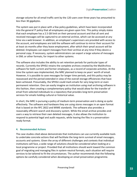storage volume for all email traffic sent by the 120 users over three years has amounted to less than 30 gigabytes.

The system was put in place with a few policy guidelines, which have been incorporated into the general IT policy that all employees are given upon hire. This policy simply states that each employee has a 2.5 GB limit on their personal account and that all sent and received messages will be captured to an external archive, which can be accessed at any time via a web browser. In addition, an employee's supervisors are provided with access to the account, and employees are told the software will continue to mirror their account for at least six months after they leave employment, after which their qmail account will be deleted. Employees can export messages from their archive at any time if they desire a personal copy. If necessary, system administrators can export a large volume of messages in EML or other formats, for import to other systems.

The software also includes the ability to set retention periods for particular types of records. Currently the SPHSU retains the complete archives created by the MailArchiva software for both current and former employees, as a record of corporate activities. At the time the system was implemented, the MRC planned to keep six years' worth of email. However, it is possible to save messages for longer time periods, and this policy may be reassessed and the period extended in view of the overall storage efficiencies that have been achieved. Presumably, the SPHSU could mark emails for very long-term or even permanent retention. One can easily imagine an institution using mail archiving software in this fashion, then creating a complementary policy that would allow for the transfer of email from selected individuals to a repository that provides long-term preservation services for emails holding cultural or historical value.

In short, the MRC is pursuing a policy of medium-term preservation and is doing so quite effectively. The software and hardware they are using stores messages in an open format that is based on the RFC 2822 and MIME standards. The software also provides a reasonably efficient search and discovery system. While the email archive provides end users a way to retrieve their own deleted messages, it also allows the institution to respond to potential legal and audit requests, while leaving the files in a preservationready format.

#### <span id="page-38-0"></span>**4. Recommended Actions**

es for longer time periods, and this policy may be<br>view of the overall storage efficiencies that have<br>D could mark emails for very long-term or even<br>magine an institution using mail archiving software in<br>entary policy that The case studies cited above demonstrate that institutions can use currently available tools to undertake concrete actions that will facilitate the long-term survival of email messages, accounts and systems. Given the array of different challenges and contexts that individual institutions will face, a wide range of solutions should be considered when looking at a local programme or project. Provided that all institutions should work toward the common goal of migrating and managing files in system-neutral formats, each situation will require services to be tailored to fit the circumstances. The author recommends that the following options be carefully considered when developing an email preservation programme.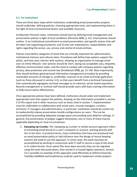Digital**Preservation**Coalition

#### **4.1. For Institutions**

<span id="page-39-0"></span>There are three basic steps which institutions undertaking email preservation projects should undertake: defining policies, choosing appropriate tools, and implementing them in the light of local environmental factors and available resources.

As Maureen Pennock notes, institutions should start by defining email management and preservation policies in light of local conditions (Pennock 2006, p. 31). Email policies should outline: 1) an institutional commitment to email preservation, and specific actions that will be taken and supporting procedures; and 2) end-user expectations, responsibilities and rights regarding the access, use, privacy and control of email archives.

Policies must define categories of email that are critically important for administration, institutional memory and cultural value. Procedures will define how systems support the policy, and how users interact with systems, allowing an organization to manage email over an entire lifecycle. User policies should be short, laying out acceptable uses, etiquette, effective communication styles, and the need to comply with company policies regarding privacy, data protection and records law (Smallwood 2008, pp. 21–39). Most importantly, they should facilitate good personal information management principles by providing reasonable amounts of storage or, preferably, recourse to an email archiving application (such as those discussed in section 3.4), so that users benefit from a technical framework that automatically segregates archived messages to an external, server-based repository. Records management or archival staff should provide users with basic training information to help ensure policy effectiveness.

Once appropriate policies have been defined, institutions should select and implement appropriate tools that support the policies, drawing on the information provided in section 3 of this report and in other resources such as those cited in section 7. Implementation must be undertaken in collaboration with email users, records managers, curators, archivists, IT managers and administrators. In particular, institutions should be careful not to inadvertently impose preservation-hostile configurations on users. This can be accomplished by providing adequate storage space and avoiding auto-deletion settings. In general, five preservation strategies suggest themselves; one or more of these may be applicable depending on local circumstances:

For a controller and the state of the state of the state of the state of the state of the state of the state of the state of the state of the state of the state of the state of the state of the state of the state of the st 1. **Sweeping Up Crumbs:** The 'sweeping up crumbs' or whole-account approach refers to harvesting email found on a user's computer or account, working directly with her or her heirs. In practical terms, many institutions that have not previously had an email preservation policy or had influence over the design of record keeping systems will need to use this approach. In some cases, the work may best be accomplished by working in conjunction with IT staff to secure a copy of the email in its native format. Once native files have been secured, they can be migrated using the tools discussed above, then stored in a trusted digital repository. Section 3.6.1 provides an example of this approach used effectively at Oxford University. Toolslike Aid4Mail and Emailchemy could be used to implement similar projects.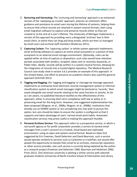- 2. **Nurturing and Harvesting:** The 'nurturing and harvesting' approach is an enhanced version of the 'sweeping up crumbs' approach, wherein an institution offers guidance and assistance to email users during the lifetime of systems, helping them to ensure that critical records are retained in system-neutral formats, then using email migration software to capture and preserve records either as they are created or at the end of a user's lifetime. The University of Michigan implements a version of this approach by providing users a designated 'archives' box in their email client, to which they can drag and drop emails, which are then co-managed by email users and archival staff members (Shallcross 2011).
- 3. **Capturing Carbon:** The 'capturing carbon' or whole system approach implements email archiving software to capture an entire email ecosystem or a portion of that ecosystem to an external email storage environment. Optionally, rules can be applied either at time of capture or disposition; such rules would have retention periods associated with senders, recipient, dates sent or received, keywords, or folder titles. Ideally, records will be written in a system-neutral format, allowing for the integration of records into a trusted digital repository. The Medical Research Council case study cited in section 3.6.2 provides an example of this approach. In the United States, one effort to preserve an academic listserv also used this general approach (Schmidt 2011).
- preserve an academic listserv also used this general<br>ting and bagging' or message-by-message approach<br>electronic records management system or informal<br>mail messages might be declared as 'records', then<br>ords relating to the 4. **Tagging and Bagging:** the 'tagging and bagging' or message-by-message approach implements an enterprise-level electronic records management system or informal classification system to which email messages might be declared as 'records,' then saved alongside non-email records relating to the same function or activity. As far as I am aware, no published literature testifies to the effectiveness of this approach, either in ensuring short-term compliance with law or policy or in preserving email for the long-term. However, one suggested implementation has been proposed (Wagner, et al., 2008a; Wagner, et al., 2008b). Institutions that already use an EDRMS system or are considering one may wish to pursue this option, but care should be taken to ensure the system is configured so that it supports and takes advantage of users' normal email work habits. Automatic classification services may prove useful in making this approach feasible.
- 5. **Personal Archives Service:** This approach refers to a prospective service, in which a non-profit agency or for-profit corporation provides a service to harvest email messages from a user's account to a trusted, cloud-based and replicated environment, using an open and system-neutral format. Based on ideas first suggested by Eric Freeman, David Gelernter and David Bearman, such a service would operate similarly to services such as Carbonite or CrashPlan, but would offer people the opportunity to donate their email to an archives, manuscript repository or other service provider; one such service is currently being explored by the author as a research project (Freeman and Gelernter 1996; Bearman and Hedstrom 2000; Prom 2011). One American university is piloting a similar service with selected graduate students (University of North Carolina School of Information and Library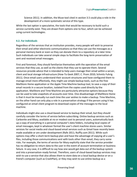Science 2011). In addition, the Muse tool cited in section 3.5 could play a role in the development of a more systematic service of this type.

While the last option is speculative, the tools that would be necessary to build such a service currently exist. They are drawn from options one to four, which can be achieved using current technologies.

#### **4.2. For Individuals**

<span id="page-41-0"></span>Regardless of the services that an institution provides, many people will wish to preserve their email and other electronic communications so that they can use the messages as a personal memory bank or even so they can donate them to a repository at a later time. Such individuals can take several simple steps to facilitate the long-term preservation of sent and received email messages.

First and foremost, they should familiarize themselves with the operation of the email services that they use, as well as the clients that they use to operate them. Several resources provide advice that is intended to help users manage their email within a server, client and local storage infrastructure (How-To Geek 2007; C. Prom 2010; Schmitz Fuhrig 2011). Once email users understand their account structures and have configured them to manage email more effectively, they might use simple backup tools, such as the free MailStore Home application or the Apple Time Machine backup tool, to save a copy of their email records in a secure location, isolated from the copies used directly by the application. MailStore and Time Machine are particularly attractive options because they can be used to take snapshots of accounts over time. One disadvantage of MailStore Home is that it must be manually run each time the user wishes to make a backup. Time Machine, on the other hand can only play a role in a preservation strategy if the person using it has configured an email client program to download copies of the messages to the local machine.

How-TO Geek 2007; C. Prom 2010; Schmitz Fuhre<br>
Heir account structures and have configured them to<br>
eleir account structures and have configured them to<br>
eleir Time Machine backup tool, to save a copy of their<br>
ated from t Individuals might also use a cloud-based service to backup their email, but they should carefully consider the terms of service before subscribing. Online backup services such as Carbonite and Mozy, available at no or modest cost to personal users, automatically back up a copy of everything in a personal computer's data folders, including local copies of email messages, kept in whatever format the user's client machine stores users. Similar services for social media and cloud-based email services such as Gmail have recently been made available or are under development (Rafe 2011; Nuffly.com 2011). While such options may offer a short-term backup plan and have the advantage of copying all a user's files, including those communications sent with tools other than email, they carry some risks. For example, the terms of service for Mozy explicitly state that the service provider has no obligation to return data to the user in the event of account termination or business failure. In any case, it is difficult to say how one would get data out of the backup system and into a preservation-ready format. Therefore, users of cloud-based backup services may wish to use a service that also allows them to store data on a local backup device or on a friend's computer (such as CrashPlan), or they may wish to use online backup as a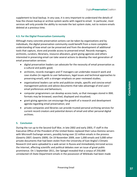supplement to local backup. In any case, it is very important to understand the details of how the chosen backup or archive system works with regard to email. In particular, most services will only provide the ability to recreate the last system state, not to restore emails deleted at a previous time.

#### **4.3. For the Digital Preservation Community**

<span id="page-42-0"></span>Although many concrete preservation actions can be taken by organizations and by individuals, the digital preservation community could benefit from a more complete understanding of how email can be preserved and from the development of additional tools that capture, store and provide access to preserved email. Records managers, archivists, curators, librarians, resource allocators, grant-giving agencies and others interested in preserving email can take several actions to develop the next generation of email preservation services:

- digital preservation leaders can advocate for the necessity of email preservation as a cultural and public good;
- archivists, records managers and IT managers can undertake research work and case studies (in regards to user behaviours, legal issues and technical approaches to preserving email), with a stronger emphasis on peer-reviewed studies;
- organizational leaders can write and publicize simple, specific and concise email management policies and advice documents that take advantage of end users' email preferences and behaviours;
- computer programmers can develop access tools, so that messages stored in XML formats may be browsed, searched, displayed and visualized;
- grant-giving agencies can encourage the growth of a research and development agenda regarding email preservation; and
- private companies and libraries can provide trusted personal archiving services for current record creators and potential donors of email and other personal digital archives.

#### <span id="page-42-1"></span>**5. Conclusion**

e and publicize simple, specific and concise email<br>
eco documents that take advantage of end users'<br>
urs;<br>
ursign access tools, so that messages stored in XML<br>
ched, displayed and visualized;<br>
urage the growth of a researc During the run up to the Second Gulf War, in late 2002 and early 2003, IT staff in the Executive Office of the President of the United States replaced their Lotus Domino servers with Microsoft Exchange servers, possibly losing over 22 million emails in the process (Gewirtz 2007; Gewirtz 2009). On 19 November 2009, over 1,000 emails and 3,000 other private documents that had been stolen from the University of East Anglia's Climatic Research Unit were uploaded to a web server in Russia and immediately mirrored across the Internet, affecting scientific and political debates over an issue of great public prominence. On 1 September 2011, Der Spiegel revealed that a corpus of 250,000 unredacted US State Department emails in the possession of Wikileaks had been made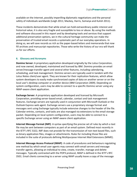available on the Internet, possibly imperilling diplomatic negotiations and the personal safety of individuals worldwide (Leigh 2011; Mackey, Harris, Somaiya and Kulish 2011).

These incidents demonstrate that while email can hold extraordinary public interest and historical value, it is also very fragile and susceptible to loss or abuse. By using the methods and software discussed in this report and by developing tools and services that support additional preservation options, we in the cultural heritage community can make the preservation of trusted email records a systematic part of our everyday operations. In doing so, we will save records as rich as the paper-based letters and memoranda that now fill archives and manuscript repositories. Those who write the history of our era will thank us for our efforts.

#### **6. Glossary and Acronyms**

**Domino Server:** A proprietary application developed originally by the Lotus Corporation, and now owned, developed, maintained and licensed by IBM. Domino provides an email server/message transfer agent and several other features, including calendaring, scheduling, and task management. Domino servers are typically used in tandem with the Lotus Notes client/user agent. They are known for their replication features, which allow system developers to easily make synchronized copies of data on another server or on the local user's desktop computer or another device (IBM Corporation 2009). Depending on system configuration, users may be able to connect to a specific Domino server using any IMAP-aware client application.

<span id="page-43-0"></span>ment of the transmission of non-text based with the mental ware the enorm for their replication features, which allow<br>thromized copies of data on another server or on the<br>electrocic (IBM Corporation 2009). Depending on<br>tei **Exchange Server:** A proprietary application developed and licensed by Microsoft Corporation, providing server-based email, calendar, contact and task management features. Exchange servers are typically used in conjunction with Microsoft Outlook or the Outlook Express web agent. Exchange servers use a proprietary storage format and messages sent using Exchange typically include extensive changes to the header of the file. Calendar entries, contacts, and tasks are also managed via extensions to the email storage packet. Depending on local system configuration, users may be able to connect to a specific Exchange server using an IMAP-aware client application.

**Internet Message Format (IMF)**: A syntax specifying the precise set of rules by which a text file may be sent between computers as part of an email system. Defined most recently in the IETF's RFC 5322, IMF does not provide for the transmission of non-text based files, such as binary application files, images or attachments. Rules for including those files are included in the suite of protocols defining Multipurpose Internet Mail Extensions (MIME).

**Internet Message Access Protocol (IMAP)**: A code of procedures and behaviours regulating one method by which email user agents may connect with email servers and message transfer agents, allowing an individual to view, create, transfer, manage and delete messages. Typically contrasted with the POP3 protocol, IMAP is defined in the IETF's RFC 3501. Email clients connecting to a server using IMAP usually leave a copy of the message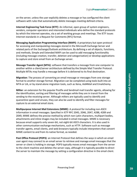Digital**Preservation**Coalition

on the server, unless the user explicitly deletes a message or has configured the client software with rules that automatically delete messages meeting defined criteria.

**Internet Engineering Task Force (IETF)**: An informal, open group of system engineers, vendors, computer operators and interested individuals who define the standard protocols by which the Internet operates, via a set of working groups and meetings. The IETF issues Internet standards in a Request for Comments (RFC) format.

**Messaging Application Programming Interface (MAPI)**: A proprietary but open protocol for accessing and manipulating messages stored in the Microsoft Exchange Server and related parts of the Exchange/Outlook architecture. By defining a set of objects, functions, and methods, Simple and Extended MAPI can be used to add messaging functionality (including message creation, transfer, deletion and categorization) or develop applications to capture and store email from an Exchange server.

**Message Transfer Agent (MTA)**: software that transfers a message from one computer to another within a client/server architecture defined by the Simple Mail Transfer Protocol. Multiple MTAs may handle a message before it is delivered to its final destination.

**Migration**: The process of converting an email message or messages from one storage format to another storage format. Migration can be completed using tools built into an MTA or UA, or by stand-alone migration tools, such as Xena, Aid4Mail and Emailchemy.

**Milter**: an extension for the popular Postfix and Sendmail mail transfer agents, allowing for the identification, sorting and filtering of messages while they are in transit from the sending to the receiving server. Although milters are typically used to identify and quarantine spam and viruses, they can also be used to identify and filter messages for capture to an external email store.

an email message or messages from one storage<br>
stration can be completed using tools built into an<br>
on tools, such as Xena, Aid4Mail and Emailchemy.<br>
Sostix and Sendmail mail transfer agents, allowing for<br>
of messages whil **Multipurpose Internet Mail Extensions (MIME)**: A protocol for including non-ASCII information in email messages. Specified in IETF RFC 2045, 2046, 2047, 4288, 4289 and 2049, MIME defines the precise method by which non-Latin characters, multipart bodies, attachments and inline images may be included in email messages. MIME is necessary because email supports only seven-bit, not eight-bit ASCII characters. It is also used in other communication exchange mechanisms, such as HTTP. Software such as message transfer agents, email clients, and web browsers typically include interpreters that convert MIME content to and from its native format, as needed.

**Post Office Protocol (POP3)**: an Internet Protocol that defines the ways in which an email user agent may connect to an email server to retrieve and manage email messages that the server or client is holding in storage. POP3 typically moves email messages from the server to the client machine and deletes the server copy, although it is typically possible to direct the server to maintain the message by setting a configuration directive in the email client.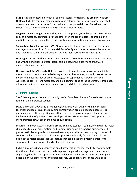**PST:** .pst is a file extension for local 'personal stores' written by the program Microsoft Outlook. PST files contain email messages and calendar entries using a proprietary but open format, and they may be found on local or networked drives of email end users. Several tools can read and migrate PST files to other formats.

**Single Instance Storage**: a method by which a computer system keeps and points to one copy of a message, document or other data, even though the data is shared among multiple users or accounts, thereby de-duplicating information and saving storage space.

**Simple Mail Transfer Protocol (SMTP)**: A set of rules that defines how outgoing email messages are transmitted from one Mail Transfer Agent to another across the Internet, until they reach their final destination. Defined most recently in IETF RFC 5321.

**User Agent**: Software that interacts with an email server to retrieve and send messages, and with the end user to create, store, edit, delete, print, classify and otherwise manipulate email messages.

**Unstructured Data/Records**: Data or records that do not conform to a specified data model or which cannot be queried using a standardized syntax, but which are stored in a file system. Records such as email messages, correspondence stored in personal workspaces, text/instant messages, and blog postings tend to include unstructured data, although email headers provided some structured data for each message.

# **7. Further Reading**

The following resources are particularly useful. Complete citations for each item can be found in the References section.

<span id="page-45-0"></span>David Bearman's 1994 article, 'Managing Electronic Mail' outlines the major social, technical and legal issues that any email preservation project needs to address. It is particularly useful in suggesting ways that systems designs can support the effective implementation of policies. Tools developed since 1994 make Bearman's approach much more practical now, than at the time of publication.

External and the method of the method of blog postings tend to include unstructured data,<br>e structured data for each message.<br>extructured data for each message.<br>All preservation project needs to address. It is<br>the structur Maureen Pennock's 2006 'Curating Emails' remains essential reading, reviewing the major challenges to email preservation, and summarizing some prospective approaches. She places particular emphasis on the need to manage email effectively during its period of creation and active use so that is left in a preservation-ready format. The work also outlines the major conceptual approaches that can be used to preserve email, with somewhat less description of particular tools or services.

Richard Cox's 2008 book chapter on email preservation reviews the history of attempts that the archival profession has made in preserving email messages and their content, suggesting that the best approaches will understand and preserve them as the organic outcome of our professional and personal lives. Cox suggests that those wishing to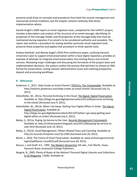preserve email draw on concepts and procedures from both the records management and manuscript archives traditions, but the chapter contains relatively little direct implementation advice.

Gareth Knight's 2009 report on email migration tools, completed for the InSPECT project, includes a description and analysis of the structure of an email message, identifying 14 properties of the message header and 50 properties of the message body that must be maintained during migration if an email is to be considered authentic and complete. The report also outlines a procedure for testing whether particular email migration tools preserve those properties and applies that procedure to three specific tools.

Andrea Goethals' and Wendy Gogel's 2010 iPres conference paper, outlining Harvard University's plan to support email preservation within a local digital repository, provides an example of attempts to integrate email preservation into existing library and archival services. Reviewing major challenges and discussing the formation of the project team and implementation decisions, the authors outline the process that led them to choose an XML format for preservation, noting relevant administrative issues and outlining prospective deposit and processing workflows.

# **8. References**

- Anderson, C., 2011. Help Create an Email Charter! TEDChris: The Untweetable. Available at: http://tedchris.posterous.com/help-create-an-email-charter [Accessed July 15, 2011].
- <span id="page-46-0"></span>Ashenfelder, M., 2011a. Personal Archiving in the Cloud. The Signal: Digital Preservation. Available at: http://blogs.loc.gov/digitalpreservation/2011/06/personal-archivingin-the-cloud/ [Accessed June 9, 2011].
- hail Charter! <u>TEDChris: The Untweetable</u>. Available at:<br>
help-create-an-email-charter [Accessed July 15,<br>
iving in the Cloud. <u>The Signal: Digital Preservation</u>.<br>  $\frac{200}{200}$ <br>  $\frac{200}{200}$ <br>  $\frac{200}{200}$ <br>  $\frac{200}{200}$ Ashenfelder, M., 2011b. When I Go Away: Getting Your Digital Affairs in Order. The Signal: Digital Preservation. Available at: http://blogs.loc.gov/digitalpreservation/2011/07/when-i-go-away-getting-yourdigital-affairs-in-order/ [Accessed July 3, 2011].
- Bailey, S., 2011a. Paying Lip Service to the User. Records Management Futurewatch. Available at: http://rmfuturewatch.blogspot.com/2011/06/paying-lip-service-touser.html [Accessed June 10, 2011].
- Bailey, S., 2011b. Email Management: Fifteen Wasted Years and Counting. Available at: http://e-records.chrisprom.com/?p=2284 [Accessed June 20, 2011].
- Baron, J., 2010. The Future of Email Preservation. Available at: www.archives.gov/recordsmgmt/pdf/baron-raco2010.pdf [Accessed June 20, 2011].
- Barzun, J. and Graff, H.F., 1992. The Modern Researcher 5th edn., Fort Worth, Texas: Harcourt Brace Jovanovich College Publishers.
- Beagrie, N., 2005. Plenty of Room at the Bottom? Personal Digital Libraries and Collections. D-Lib Magazine, 11(06). Available at: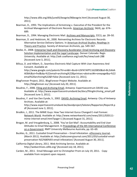http://www.dlib.org/dlib/june05/beagrie/06beagrie.html [Accessed August 30, 2011].

- Bearman, D., 1993. The Implications of Armstrong v. Executive of the President for the Archival Management of Electronic Records. American Archivist, 56(4), pp. 674-689.
- Bearman, D., 1994. Managing Electronic Mail. Archives and Manuscripts, 22(1), pp. 28–50.
- Bearman, D. and Hedstrom, M., 2000. Reinventing Archives for Electronic Records: Alternative Service Delivery Options. In American Archival Studies: Readings in Theory and Practice. Society of American Archivists, pp. 549–567.
- Beebe, D., 2008. Enterprise Vault and Discovery Accelerator: Email Archiving and Discovery Solution Implementation and the Legal Landscape. Denver Colorado: Regis University. Available at: http://adr.coalliance.org/codr/fez/view/codr:288 [Accessed June 3, 2011].
- Billsus, D. and Hilbert, D., Seamless Electronic Mail Capture With User Awareness And Consent. Available at: http://www.google.com/patents?hl=en&lr=&vid=USPATAPP11620850&id=BL2iAAA AEBAJ&oi=fnd&dq=%22email+archiving%22&printsec=abstract#v=onepage&q=%22 email%20archiving%22&f=false [Accessed June 11, 2011].
- BlogForever Project, 2011. BlogForever Project Website. Available at: http://blogforever.eu/ [Accessed July 20, 2011].
- Boudrez, F., 2006. Filing and Archiving Email, Antwerp: Expertisecentrum DAVID vzw. Available at: http://www.expertisecentrumdavid.be/docs/filingArchiving\_email.pdf [Accessed June 3, 2011].
- ed July 20, 2011].<br>
Email, Antwerp: Expertisecentrum DAVID vzw.<br>
trisecentrumdavid.be/docs/filingArchiving\_email.pdf<br>
02. <u>DAVID: Archiving Email</u>, Antwerp: City of Antwerp<br>
02. <u>DAVID: Archiving Email</u>, Antwerp: City of A Boudrez, F. and Van Den Eynde, S., 2002. DAVID: Archiving Email, Antwerp: City of Antwerp Archives. Available at: http://www.expertisecentrumdavid.be/davidproject/teksten/Rapporten/Report4.p df [Accessed June 3, 2011].
- Brodkin, J., 2011. The MIME Guys: How Two Internet Gurus Changed E-mail Forever. Network World. Available at: http://www.networkworld.com/news/2011/020111 mime-internet-email.html?page=1 [Accessed August 31, 2011].
- Brogan, M. and Vreugdenburg, S., 2008. 'You've Got Mail': Accountability and End User Attitudes to Email Management. In Proceedings of the 4th International Conference on e-Government. RMIT University Melbourne Australia, pp. 63–69.
- Buckles, G., 2011. Custodial Email Preservation Email Infestation. eDiscovery Journal, (March 2011). Available at: http://ediscoveryjournal.com/2011/03/custodial-emailpreservation-%E2%80%93-email-infestation/ [Accessed August 30, 2011].
- California Digital Library, 2011. Web Archiving Service. Available at: http://webarchives.cdlib.org/ [Accessed July 18, 2011].
- Carden, M., 2011. Email Message sent to Christopher Prom on July 19, 2011. Copy available from recipient upon request.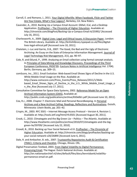- Carroll, E. and Romano, J., 2011. Your Digital Afterlife: When Facebook, Flickr and Twitter Are Your Estate, What's Your Legacy?, Berkeley, CA: New Riders.
- Cavender, A., 2010. Backing Up a Campus Email Account: GMail, iCal, and a Desktop Application. ProfHacker - The Chronicle of Higher Education. Available at: http://chronicle.com/blogPost/Backing-Up-a-Campus-Email-A/25992/ [Accessed July 16, 2011].
- Charlesworth, A., 2009. Digital Lives: Legal and Ethical Issues: A Discussion Paper, London: The British Library. Available at: http://britishlibrary.typepad.co.uk/files/digitallives-legal-ethical.pdf [Accessed June 10, 2011].
- Chatelain, J.-Luc and Garrie, D.B., 2007. The Good, the Bad and the Ugly of Electronic Archiving: An Essay on the State of Enterprise Information Management. Journal of Legal Technology Risk Management, 2(1), pp. 90–97.
- Cole, R. and Eklund, P., 1999. Analyzing an Email collection using formal concept analysis. In Principles of Data Mining and Knowledge Discovery. Proceedings of the Third European Conference, PKDD'99*.* (Lecture Notes in Artificial Intelligence Vol. 1704). Berlin, Germany, pp. 309–15.
- comScore, Inc., 2011. Email Evolution: Web-based Email Shows Signs of Decline in the U.S. While Mobile Email Usage on the Rise. Available at: http://www.comscore.com/Press\_Events/Press\_Releases/2011/1/Webbased\_Email\_Shows\_Signs\_of\_Decline\_in\_the\_U.S.\_While\_Mobile\_Email\_Usage\_o n\_the\_Rise [Accessed July 17, 2011].
- Consultative Committee for Space Data Systems, 2002. Reference Model for an Open Archival Information System (OAIS), Available at: http://public.ccsds.org/publications/archive/650x0b1.pdf [Accessed June 10, 2011].
- Cox, R.J., 2008. Chapter 7: Electronic Mail and Personal Recordkeeping. In Personal Archives and a New Archival Calling: Readings, Reflections and Ruminations. Duluth, Minnesota: Litwin Books, pp. 201–42.
- Crispin, M., 2003. RFC 3501 Internet Message Access Protocol Version 4, Revision 1. Available at: http://tools.ietf.org/html/rfc3501 [Accessed August 30, 2011].
- Crook, C., 2010. Climategate and the Big Green Lie Politics The Atlantic. Available at: http://www.theatlantic.com/politics/archive/2010/07/climategate-and-the-biggreen-lie/59709/ [Accessed July 22, 2010].
- Croxall, B., 2010. Backing up Your Social Network v2.0. Profhacker The Chronicle of Higher Education. Available at: http://chronicle.com/blogs/profhacker/backing-upyour-social-network-v20/26890 [Accessed June 6, 2011].
- Dale, R. and Ambacher, B. eds., 2007. Trustworthy Repositories Audit & Certification (TRAC): Criteria and Checklist, Chicago, Illinois: CRL.
- Decline\_in\_the\_U.S.\_While\_Mobile\_tmail\_Usage\_o<br>
2011].<br>
20111.<br>
2013. Reference Model for an Open<br>
2013. Worldble at:<br>
2013. Worldble at:<br>
2014. Havia and Personal Recordkeeping. In <u>Personal</u><br>
2014.<br>
2014.<br>
2014. Message Digital Preservation Testbed, 2003. From Digital Volatility to Digital Permanence: Preserving Email, The Hague: Dutch National Archives. Available at: http://en.nationaalarchief.nl/sites/default/files/docs/kennisbank/volatilitypermanence-email-en.pdf.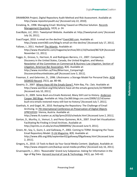- DRAMBORA Project, Digital Repository Audit Method and Risk Assessment. Available at: http://www.repositoryaudit.eu/ [Accessed July 22, 2010].
- Enneking, N., 1998. Managing Email: Working Toward an Effective Solution. Records Management Quarterly, 32(3), p. 24.
- ExactByte, LLC, 2011. Tweetymail Website. Available at: http://tweetymail.com/ [Accessed July 16, 2011].
- ExactTarget, 2010. Is email on the decline? Event360.com. Available at: http://www.event360.com/blog/is-email-on-the-decline/ [Accessed July 17, 2011].
- Fallows, J., 2011. Hacked! The Atlantic. Available at: http://www.theatlantic.com/magazine/archive/2011/10/hacked/8673/# [Accessed November 11, 2011].
- Foggo, G., Grosso, S., Harrison, B. and Rodriguez-Barrera, J.V., 2007. Comparing E-Discovery in the United States, Canada, the United Kingdom, and Mexico. Newsletter of the Committee on Commercial & Business Law Litigation, Section of Litigation, American Bar Association, 8(4). Available at: http://www.mcmillan.ca/Files/BHarrison\_ComparingE-Discoveryintheunitedstates.pdf [Accessed June 3, 2011].
- Freeman, E. and Gelernter, D., 1996. Lifestreams: a Storage Model For Personal Data. ACM SIGMOD Record, 25(1), pp. 80–86.
- Gewirtz, D., 2007. Where Have All the Emails Gone?, Palm Bay, Fla.: Zatz. Available at: http://www.worldcat.org/title/where-have-all-the-emails-gone/oclc/227004599 [Accessed July 10, 2011].
- Gewirtz, D., 2009. Some Bush-era Emails Restored, Many Still Lost to History. Anderson Cooper 360 Blogs. Available at: http://ac360.blogs.cnn.com/2009/12/14/somebush-era-emails-restored-many-still-lost-to-history/ [Accessed July 7, 2011].
- Goethals, A. and Gogel, W., 2010. Reshaping the Repository: The Challenge of Email Archiving. In 7th International Conference on Preservation of Digital Objects (iPRES2010*)*. Vienna, Austria. Available at: http://www.ifs.tuwien.ac.at/dp/ipres2010/schedule.html [Accessed June 2, 2011].
- Gorton, D., Murthy, U., Vemuri, S. and Perez-Quinones, M.A., 2007. Email-Set Visualization: Facilitating Re-Finding in Email Archives. Available at: http://eprints.cs.vt.edu/archive/00000956/ [Accessed June 9, 2011].
- Emails Gone?, Palm Bay, Fla.: Zatz. Available at:<br>
(where-have-all-the-emails-gone/oclc/227004599<br>
ils Restored, Many Still Lost to History. <u>Anderson</u><br>
http://ac360.blogs.cnn.com/2009/12/14/some-<br>
http://ac360.blogs.cnn.c Green, M., Soy, S., Gunn, S. and Galloway, P., 2002. Coming to TERM: Designing the Texas Email Repository Model. D-Lib Magazine, 8(9). Available at: http://www.dlib.org/dlib/september02/galloway/09galloway.html [Accessed June 2, 2011].
- Gregory, A., 2010. 13 Tools to Back Up Your Social Media Content. SitePoint. Available at: http://www.sitepoint.com/backup-social-media-profiles/ [Accessed July 16, 2011].
- Gruenspecht, J., 2011. 'Reasonable' Grand Jury Subpoenas: Asking for Information in the Age of Big Data. Harvard Journal of Law & Technology, 24(1), pp. 543-62.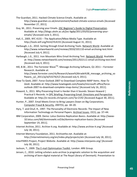- The Guardian, 2011. Hacked Climate Science Emails. Available at: http://www.guardian.co.uk/environment/hacked-climate-science-emails [Accessed November 27, 2011].
- Guy, M., 2011. Preserving your Emails. JISC Beginner's Guide to Digital Preservation. Available at: http://blogs.ukoln.ac.uk/jisc-bgdp/2011/03/02/preserving-youremails/ [Accessed June 3, 2011].
- Hall, E., 2005. RFC 4155 The Application/Mbox Media Type. Available at: http://tools.ietf.org/html/rfc4155 [Accessed August 31, 2011].
- Harbaugh, L.G., 2010. Sorting through Email Archiving Tools. Network World. Available at: http://www.networkworld.com/reviews/2010/101110-email-archiving-test.html [Accessed July 4, 2011].
- Harbaugh, L.G., 2011. Iron Mountain Wins Email Archiving Test. Network World. Available at: http://www.networkworld.com/reviews/2011/022111-email-archiving-test.html [Accessed July 4, 2011].
- Hill, B.W., 2011. The Forrester Wave<sup>TM</sup>: Message Archiving Software, Q1 2011 Forrester Research. Available at: http://www.forrester.com/rb/Research/wave%26trade%3B\_message\_archiving\_so ftware,\_q1\_2011/q/id/53276/t/2 [Accessed July 4, 2011].
- How-To Geek, 2007. Force Outlook 2007 to Download Complete IMAP Items. *How-To Geek*. Available at: http://www.howtogeek.com/howto/microsoft-office/forceoutlook-2007-to-download-complete-imap-items/ [Accessed July 16, 2011].
- **Example 1.1**<br>
Archivet Complete-Imap-items/ [Accessed July 16, 2011].<br>
In ili is Harder than it Sounds: Steven Howard |<br>
Frign: Preserving Email: Directions and Perspective.<br>
Arrisprom.com/?p=2192 [Accessed August 30, 201 Howard, S., 2011. Why Preserving Email is Harder than it Sounds: Steven Howard | Practical E-Records. In DPC Briefing: Preserving Email: Directions and Perspective. Available at: http://e-records.chrisprom.com/?p=2192 [Accessed August 30, 2011].
- Hunter, P., 2007. Email Meets Enron to Bring Lawyers Down on Big Corporations. Computer Fraud & Security, 2007(5), pp. 18–20.
- Hyry, T. and Onuf, R., 1997. The Personality of Electronic Records: The Impact of New Information Technology on Personal Papers. Archival Issues, 22(1), pp. 37–44.
- IBM Corporation, 2009. Demo: Lotus Domino Replication Basics. Available at: http://www-10.lotus.com/ldd/dominowiki.nsf/dx/domino-replication-basics [Accessed September 19, 2011].
- Internet Archive, 2011. Archive-It.org. Available at: http://www.archive-it.org/ [Accessed July 18, 2011].
- Internet Memory Foundation, 2011. Archivethe.net. Available at: http://internetmemory.org/en/index.php/projects/atn [Accessed July 18, 2011].
- InterPARES Project, Project Website. Available at: http://www.interpares.org/ [Accessed July 30, 2011].
- Jackson, T., 2009. The E-mail Optimisation Toolkit, London: ARK Group.
- Jensen, C., 2010. Letting scholars auto-archive (a pragmatic solution to the acquisition and archiving of born-digital material at The Royal Library of Denmark). Presentation to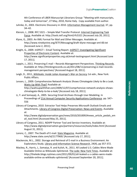4th Conference of LIBER Manuscript Librarians Group: "Meeting with manuscripts, today and tomorrow", 27 May, 2010, Rome Italy. Copy available from author.

- Juhnke, D., 2003. Electronic Discovery in 2010. Information Management Journal, 37, pp. 34–42.
- Klensin, J., 2008. RFC 5321 Simple Mail Transfer Protocol. Internet Engineering Task Force. Available at: http://tools.ietf.org/html/rfc5321 [Accessed July 20, 2011].
- Klyne, G., 2003. An XML Format for Mail and Other Messages. Available at: http://www.ninebynine.org/IETF/Messaging/draft-klyne-message-xml-00.txt [Accessed June 2, 2011].
- Knight, G., 2009. InSPECT Email Testing Report. InSPECT: Investigating Significant Properties of Electronic Content. Available at: http://www.significantproperties.org.uk/email-testingreport.html [Accessed June 17, 2011].
- Lappin, J., 2011. Preserving E-mail Records Management Perspectives. Thinking Records. Available at: http://thinkingrecords.co.uk/2011/08/11/preserving-e-mail-recordsmanagement-perspectives/ [Accessed August 18, 2011].
- Leigh, D., 2011*. Wikileaks: Inside Julian Assange's War on Secrecy* 1st edn., New York: Public Affairs.
- Levsen, L., 2009. Comprehensive Network Analysis Shows Climategate Likely to Be a Leak. Watts Up With That? Available at:

http://wattsupwiththat.com/2009/12/07/comprhensive-network-analysis-showsclimategate-likely-to-be-a-leak/ [Accessed July 18, 2011].

- Li, Y. and Somayaji, A., 2005. Securing Email Archives through User Modeling. In Proceedings of 21st Annual Computer Security Applications Conference. pp. 547– 556
- Library of Congress, 2010. Extractor Tool Helps Preserves Microsoft Outlook Emails and Attachments. Library of Congress Digital Preservation: News and Events. Available at:

http://www.digitalpreservation.gov/news/2010/20100924news article pedals em ail\_tool.html [Accessed May 25, 2011].

- Library of Congress, 2011. NDIIPP Partner Tool and Service Inventory. Available at: http://www.digitalpreservation.gov/partners/resources/tools/index.html [Accessed August 31, 2011].
- Lorenz, C., 2007. The Death of E-mail. Slate Magazine. Available at: http://www.slate.com/id/2177969/ [Accessed July 17, 2011].
- Mackenzie, M.L., 2002. Storage and Retrieval of E-mail in a Business Environment: An Exploratory Study. Library and Information Science Research, 24(4), pp 357-372.
- on Kinaysis Shows Chinategate Likely to be a Leak.<br>
at:<br>
at:<br>
at:<br>
at:<br>
at:<br>
Finall Archives through User Modeling. In<br>
Email Archives through User Modeling. In<br>
Email Archives through User Modeling. In<br>
<u>mouter Security A</u> Mackey, R., Harris, J., Somaiya, R. and Kulish, N., 2011. All Leaked U.S. Cables Were Made Available Online as WikiLeaks Splintered. The Lede: New York Times. Available at: http://thelede.blogs.nytimes.com/2011/09/01/all-leaked-u-s-cables-were-madeavailable-online-as-wikileaks-splintered/ [Accessed September 20, 2011].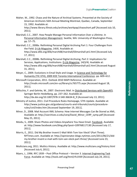Maher, W., 1992. Chaos and the Nature of Archival Systems. Presented at the Society of American Archivists 56th Annual Meeting Montreal, Quebec, Canada, September 15, 1992. Available at:

http://www.library.illinois.edu/archives/workpap/chaosshort.pdf [Accessed July 10, 2011].

- Marshall, C.C., 2007. How People Manage Personal Information Over a Lifetime. In Personal Information Management. Seattle, WA: University of Washington Press, pp. 57–75.
- Marshall, C.C., 2008a. Rethinking Personal Digital Archiving Part 1: Four Challenges from the Field. D-Lib Magazine, 14(4). Available at: http://www.dlib.org/dlib/march08/marshall/03marshall-pt1.html [Accessed July 17, 2011].
- Marshall, C.C., 2008b. Rethinking Personal Digital Archiving, Part 2: Implications for Services, Applications, Institutions. D-Lib Magazine, 14(3/4). Available at: http://www.dlib.org/dlib/march08/marshall/03marshall-pt2.html [Accessed August 31, 2011].
- Meyer, C., 2009. Evolutions in Email Style and Usage. In Science and Technology for Humanity (TIC-STH), 2009 IEEE Toronto International Conference. pp. 609–612.
- Microsoft Corporation, 2011. Outlook 2010 MAPI Reference. Available at: http://msdn.microsoft.com/en-us/library/cc765775.aspx [Accessed August 18, 2011].
- Milicchio, F. and Gehrke, W., 2007. Electronic Mail. In Distributed Services with OpenAFS. Springer Berlin Heidelberg, pp. 237–262. Available at: http://dx.doi.org/10.1007/978-3-540-36634-8\_9 [Accessed July 13, 2011].
- Ministry of Justice, 2011. Civil Procedure Rules Homepage, 57th Update. Available at: http://www.justice.gov.uk/guidance/courts-and-tribunals/courts/procedurerules/civil/index.htm [Accessed September 19, 2011].
- Minor, D., 2008. Mail Account XML Schema: How Internet Messages Can Be Stored as XML. Available at: http://siarchives.si.edu/cerp/David\_Minor\_CERP\_symp.pdf [Accessed May 25, 2011].
- Moidu, S., 2009. Share Photos and Videos Anywhere You Have Email. Facebook. Available at: http://www.facebook.com/blog.php?post=109768117130 [Accessed July 17, 2011].
- -us/library/cc765775.aspx [Accessed August 18,<br>
ctronic Mail. In <u>Distributed Services with OpenAFS</u>.<br>
237–262. Available at:<br>
-3-540-36634-8\_9 [Accessed July 13, 2011].<br>
Ire Rules Homepage, 57th Update. Available at:<br>
47 Morris, E., 2011. Did My Brother Invent E-Mail With Tom Van Vleck? (Part Three). NYTimes.com. Available at: http://opinionator.blogs.nytimes.com/2011/06/21/didmy-brother-invent-e-mail-with-tom-van-vleck-part-three/ [Accessed June 23, 2011].
- Multicians.org, 2011. Multics History. Available at: http://www.multicians.org/history.html [Accessed July 6, 2011].
- Myers, J., 1996. RFC 1939 Post Office Protocol Version 3. Internet Engineering Task Force. Available at: http://tools.ietf.org/html/rfc1939 [Accessed July 24, 2011].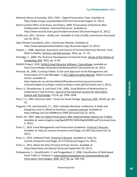- National Library of Australia, 2011. PADI Digital Preservation Tools. Available at: http://www.nla.gov.au/padi/topics/535.html [Accessed August 31, 2011].
- North Carolina Office of Archives and History, 2009. Preservation of Electronic Mail Collaboration Initiative: Technical Resources. Available at: http://www.records.ncdcr.gov/emailpreservation/ [Accessed August 31, 2011].
- Nuffly.com, 2011. Services Nuffly.com. Available at: http://nuffly.com/services [Accessed July 16, 2011].
- Open Planets Foundation, 2011. Community Website. Available at: http://www.openplanetsfoundation.org/ [Accessed August 31, 2011].
- Paquet, L., 2000. Appraisal, Acquisition and Control of Personal Electronic Records: From Myth to Reality. Archives and Manuscripts, 20(2), pp. 71– 91.
- Partridge, C., 2008. The Technical Development of Internet Email. Annals of the History of Computing, IEEE, 30(2), pp. 3–29.
- PeDALS Project, 2010. PeDALS Email Extractor Software | Sourceforge, Available at: http://sourceforge.net/projects/pedalsemailextr/ [Accessed July 16, 2011].
- Pennock, M., 2006. Curating E-Mails: A Life-cycle Approach to the Management and Preservation of E-mail Messages. In DCC Digital Curation Manual. Digital Curation Centre. Available at: http://www.dcc.ac.uk/sites/default/files/documents/resource/curation-

manual/chapters/curating-e-mails/curating-e-mails.pdf [Accessed June 2, 2011].

- Perer, A., Shneiderman, B. and Oard, D.W., 2006. Using Rhythms of Relationships to Understand E-mail Archives. Journal of the American Society for Information Science and Technology, 57(14), pp. 1936-1948.
- Perry, T.S., 1992. Electronic Mail Forces for Social Change. Spectrum, IEEE, 29(10), pp. 30– 32.
- Pinguelo, F.M. and Gonnello, F.J., 2010. Zubulake Revisited: Ineffective Lit Holds and Sloppiness Lead To Wheel of Sanctions. e-Lessons Learned. Available at: http://ellblog.com/?p=2009#more-2009 [Accessed July 22, 2011].
- analy mess countents/resource countents<br>and schemes considered and 2, 2011].<br>
D.W., 2006. Using Rhythms of Relationships to<br>
urnal of the American Society for Information<br>
), pp. 1936–1948.<br>
See for Social Change. <u>Spectru</u> Potter, M., 2002. XML For Digital Preservation: XML Implementation Options for E-Mails. Available at: www.imaginar.org/dppd/DPPD/183%20pp%20XML.pdf [Accessed June 2, 2011].
- Prom, C., 2010. Email Management and Preservation Guidelines. Practical E-Records. Available at: http://e-records.chrisprom.com/?page\_id=1301 [Accessed July 16, 2011].
- Prom, C., 2010. Software/Tools. Practical E-Records. Available at: http://erecords.chrisprom.com/?page\_id=175 [Accessed August 31, 2011].
- Prom, C., 2011. About the iKive Personal Archives Service. Available at: http://www.ikive.com/about/ [Accessed September 20, 2011].
- Pukkawanna, S., Visootfiviseth, V. and Pongpaibool, P., 2006. Classification of Web-based Email Traffic in Thailand. In International Symposium on Communications and Information Technologies, 2006. ISCIT '06*.* pp. 440–445.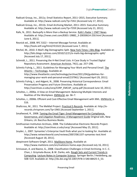- Radicati Group, Inc., 2011a. Email Statistics Report, 2011–2015, Executive Summary. Available at: http://www.radicati.com/?p=7261 [Accessed July 17, 2011].
- Radicati Group, Inc., 2011b. Email Archiving Market, 2011–2015: Executive Summary. Available at: http://www.radicati.com/?p=7359 [Accessed July 21, 2011].
- Rafe, N., 2011. Backupify is More than a Backup Service. Rafe's Radar | CNET News. Available at: http://news.cnet.com/8301-19882\_3-20030614-250.html [Accessed June 6, 2011].
- Resnick ed., 2008. RFC 5322 Internet Message Format. Available at: http://tools.ietf.org/html/rfc5322 [Accessed June 7, 2011].
- Ritchel, M., 2010. E-Mail's Big Demographic Split. New York Times | Bits Blog. Available at: http://bits.blogs.nytimes.com/2010/12/21/e-mails-big-demographic-split/ [Accessed July 17, 2011].
- Schmidt, L., 2011. Preserving the H-Net Email Lists: A Case Study in Trusted Digital Repository Assessment. American Archivist, 74(1), pp. 257–296.
- Schmitz Fuhrig, L., 2011. Guidelines for Managing Your Work and Personal Email. The Atlantic – Technology. Available at:

http://www.theatlantic.com/technology/archive/2011/04/guidelines-formanaging-your-work-and-personal-email/237961/ [Accessed April 29, 2011].

- Schmitz Fuhrig, L. and Adgent, N., 2008. Preserving Historical Correspondence: Email Preservation Progress and Future Directions. Available at: http://siarchives.si.edu/cerp/CERP\_EMCAP\_symp.pdf [Accessed June 10, 2011].
- Scholtes, J., 2006a. A View on Email Management: Balancing Multiple Interests and Realities of the Workplace. KMWorld, pp. S6–7.
- Scholtes, J., 2006b. Efficient and Cost-Effective Email Management with XML. **KMWorld**, p. S16.
- Shallcross, M., 2011. The MeMail Project. Practical E-Records. Available at: http://erecords.chrisprom.com/?p=1965 [Accessed September 1, 2011].
- Smallwood, R., 2008. Taming the Email Tiger: Email Management for Compliance, Governance, and Litigation Readiness: A Management Guide Original edn, New Orleans, LA: Bacchus Business Books.
- Smithsonian Institution Archives, 2008. The Collaborative Electronic Records Project. Available at: http://siarchives.si.edu/cerp/ [Accessed May 25, 2011].
- Snyder, J., 2007. Symantec's Enterprise Vault finds what you're looking for. Available at: http://www.networkworld.com/reviews/2007/061107-symantec-test.html [Accessed August 18, 2011].
- deepinvent Software GmgH, 2011. MailStore Home, Available at: http://www.mailstore.com/en/mailstore-home.aspx [Accessed July 16, 2011].
- o. Preserving Historical Contespondence. Ether<br>Ire Directions. Available at:<br>
ERP\_EMCAP\_symp.pdf [Accessed June 10, 2011].<br>
anagement: Balancing Multiple Interests and<br>
World, pp. S6–7.<br>
Effective Email Management with XML Srinivasan, A. and Baone, G., 2008. Classification Challenges in Email Archiving. In C.-C. Chan, J. Grzymala-Busse, & W. Ziarko, eds. Rough Sets and Current Trends in Computing. Lecture Notes in Computer Science. Springer Berlin / Heidelberg, pp. 508–519. Available at: http://dx.doi.org/10.1007/978-3-540-88425-5\_53.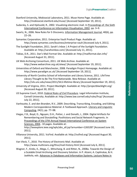- Stanford University, Mobisocial Laboratory, 2011. Muse Home Page. Available at: http://mobisocial.stanford.edu/muse/ [Accessed September 19, 2011].
- Sudarsky, S. and Hjelsvold, R., 2002. Visualizing electronic mail. In Proceedings of. the Sixth International Conference on Information Visualisation, 2002*.* pp. 3–9.
- Swartz, N., 2006. New Rules for E-Discovery. Information Management Journal, 40(6), pp. 22–26.
- Symantec Corporation, 2011. Enterprise Vault Product Page. Available at: http://www.symantec.com/business/enterprise-vault [Accessed July 4, 2011].
- The Sunlight Foundation, 2011. Sarah's Inbox | A Project of the Sunlight Foundation. Available at: http://sarahsinbox.com/ [Accessed July 11, 2011].
- Tobias, D.R., 2011. Dan's Mail Format Site. Available at: http://mailformat.dan.info/ [Accessed August 31, 2011].
- UK Web Archiving Consortium, 2011. UK Web Archive. Available at: http://www.webarchive.org.uk/ukwa/ [Accessed September 19, 2011].
- Universities of Oxford and Manchester, 2008. Paradigm Project Homepage. Available at: http://www.paradigm.ac.uk/ [Accessed September 19, 2011].
- University of North Carolina School of Information and Library Science, 2011. LifeTime Library Thought to Be The First Nationwide. *New Release*. Available at: http://sils.unc.edu/news/2011/SILS-lifetime-library [Accessed September 19, 2011].
- University of Virginia, 2011. Project Blacklight. Available at: http://projectblacklight.org/ [Accessed August 30, 2011].
- US Supreme Court, 2010. *Federal Rules of Civil Procedure*. Legal Information Institute, Cornell University. Available at: http://www.law.cornell.edu/rules/frcp/ [Accessed July 22, 2011].
- Vanhoutte, E. and den Branden, R.V., 2009. Describing, Transcribing, Encoding, and Editing Modern Correspondence Material: A Textbased Approach. Literary and Linguistic Computing, 24(1), pp. 77–98.
- SILS-litetime-library [Accessed September 19, 2011].<br>
Scolight. Available at: http://projectblacklight.org/<br>
Solight. Available at: http://projectblacklight.org/<br>
2009. Describing, Transcribing, Encoding, and Editing<br>
2009 Viegas, F.B., Boyd, D., Nguyen, D.H., Potter, J. and Donath, J., 2004. Digital Artifacts for Remembering and Storytelling: Posthistory and Social Network Fragments. In Proceedings of the 37th Annual Hawaii International Conference on System Sciences, 2004*.*. 10 pages. Available at:

http://ieeexplore.ieee.org/xpls/abs\_all.jsp?arnumber=1265287 [Accessed June 10, 2011].

- Villanova University, 2011. VuFind. Available at: http://vufind.org/ [Accessed August 30, 2011].
- Van Vleck, T., 2010. The History of Electronic Mail. Available at: http://www.multicians.org/thvv/mail-history.html [Accessed July 6, 2011].
- Wagner, F., Krebs, K., Mega, C., Mitschang, B. and Ritter, N., 2008a. Towards the Design of a Scalable Email Archiving and Discovery Solution. In P. Atzeni, A. Caplinskas, & H. Jaakkola, eds. Advances in Databases and Information Systems. Lecture Notes in